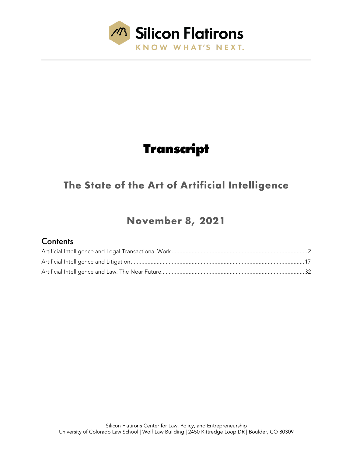

# **Transcript**

## **The State of the Art of Artificial Intelligence**

## **November 8, 2021**

## **Contents**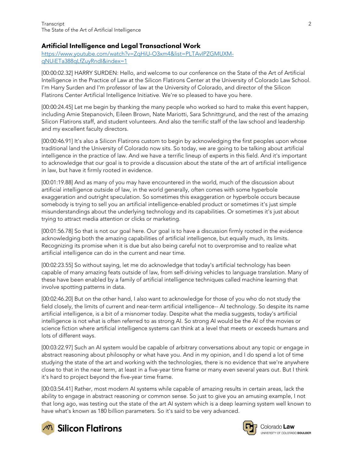## <span id="page-1-0"></span>Artificial Intelligence and Legal Transactional Work

[https://www.youtube.com/watch?v=ZqHiU-O3xm4&list=PLTAvIPZGMUXM](https://www.youtube.com/watch?v=ZqHiU-O3xm4&list=PLTAvIPZGMUXM-qNUiETa388qLfZuyRndI&index=1)[qNUiETa388qLfZuyRndI&index=1](https://www.youtube.com/watch?v=ZqHiU-O3xm4&list=PLTAvIPZGMUXM-qNUiETa388qLfZuyRndI&index=1)

[00:00:02.32] HARRY SURDEN: Hello, and welcome to our conference on the State of the Art of Artificial Intelligence in the Practice of Law at the Silicon Flatirons Center at the University of Colorado Law School. I'm Harry Surden and I'm professor of law at the University of Colorado, and director of the Silicon Flatirons Center Artificial Intelligence Initiative. We're so pleased to have you here.

[00:00:24.45] Let me begin by thanking the many people who worked so hard to make this event happen, including Amie Stepanovich, Eileen Brown, Nate Mariotti, Sara Schnittgrund, and the rest of the amazing Silicon Flatirons staff, and student volunteers. And also the terrific staff of the law school and leadership and my excellent faculty directors.

[00:00:46.91] It's also a Silicon Flatirons custom to begin by acknowledging the first peoples upon whose traditional land the University of Colorado now sits. So today, we are going to be talking about artificial intelligence in the practice of law. And we have a terrific lineup of experts in this field. And it's important to acknowledge that our goal is to provide a discussion about the state of the art of artificial intelligence in law, but have it firmly rooted in evidence.

[00:01:19.88] And as many of you may have encountered in the world, much of the discussion about artificial intelligence outside of law, in the world generally, often comes with some hyperbole exaggeration and outright speculation. So sometimes this exaggeration or hyperbole occurs because somebody is trying to sell you an artificial intelligence-enabled product or sometimes it's just simple misunderstandings about the underlying technology and its capabilities. Or sometimes it's just about trying to attract media attention or clicks or marketing.

[00:01:56.78] So that is not our goal here. Our goal is to have a discussion firmly rooted in the evidence acknowledging both the amazing capabilities of artificial intelligence, but equally much, its limits. Recognizing its promise when it is due but also being careful not to overpromise and to realize what artificial intelligence can do in the current and near time.

[00:02:23.55] So without saying, let me do acknowledge that today's artificial technology has been capable of many amazing feats outside of law, from self-driving vehicles to language translation. Many of these have been enabled by a family of artificial intelligence techniques called machine learning that involve spotting patterns in data.

[00:02:46.20] But on the other hand, I also want to acknowledge for those of you who do not study the field closely, the limits of current and near-term artificial intelligence-- AI technology. So despite its name artificial intelligence, is a bit of a misnomer today. Despite what the media suggests, today's artificial intelligence is not what is often referred to as strong AI. So strong AI would be the AI of the movies or science fiction where artificial intelligence systems can think at a level that meets or exceeds humans and lots of different ways.

[00:03:22.97] Such an AI system would be capable of arbitrary conversations about any topic or engage in abstract reasoning about philosophy or what have you. And in my opinion, and I do spend a lot of time studying the state of the art and working with the technologies, there is no evidence that we're anywhere close to that in the near term, at least in a five-year time frame or many even several years out. But I think it's hard to project beyond the five-year time frame.

[00:03:54.41] Rather, most modern AI systems while capable of amazing results in certain areas, lack the ability to engage in abstract reasoning or common sense. So just to give you an amusing example, I not that long ago, was testing out the state of the art AI system which is a deep learning system well known to have what's known as 180 billion parameters. So it's said to be very advanced.



**M** Silicon Flatirons



Colorado Law UNIVERSITY OF COLORADO BOULDER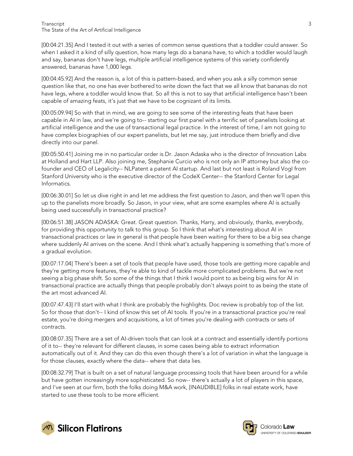[00:04:21.35] And I tested it out with a series of common sense questions that a toddler could answer. So when I asked it a kind of silly question, how many legs do a banana have, to which a toddler would laugh and say, bananas don't have legs, multiple artificial intelligence systems of this variety confidently answered, bananas have 1,000 legs.

[00:04:45.92] And the reason is, a lot of this is pattern-based, and when you ask a silly common sense question like that, no one has ever bothered to write down the fact that we all know that bananas do not have legs, where a toddler would know that. So all this is not to say that artificial intelligence hasn't been capable of amazing feats, it's just that we have to be cognizant of its limits.

[00:05:09.94] So with that in mind, we are going to see some of the interesting feats that have been capable in AI in law, and we're going to-- starting our first panel with a terrific set of panelists looking at artificial intelligence and the use of transactional legal practice. In the interest of time, I am not going to have complex biographies of our expert panelists, but let me say, just introduce them briefly and dive directly into our panel.

[00:05:50.41] Joining me in no particular order is Dr. Jason Adaska who is the director of Innovation Labs at Holland and Hart LLP. Also joining me, Stephanie Curcio who is not only an IP attorney but also the cofounder and CEO of Legalicity-- NLPatent a patent AI startup. And last but not least is Roland Vogl from Stanford University who is the executive director of the CodeX Center-- the Stanford Center for Legal Informatics.

[00:06:30.01] So let us dive right in and let me address the first question to Jason, and then we'll open this up to the panelists more broadly. So Jason, in your view, what are some examples where AI is actually being used successfully in transactional practice?

[00:06:51.38] JASON ADASKA: Great. Great question. Thanks, Harry, and obviously, thanks, everybody, for providing this opportunity to talk to this group. So I think that what's interesting about AI in transactional practices or law in general is that people have been waiting for there to be a big sea change where suddenly AI arrives on the scene. And I think what's actually happening is something that's more of a gradual evolution.

[00:07:17.04] There's been a set of tools that people have used, those tools are getting more capable and they're getting more features, they're able to kind of tackle more complicated problems. But we're not seeing a big phase shift. So some of the things that I think I would point to as being big wins for AI in transactional practice are actually things that people probably don't always point to as being the state of the art most advanced AI.

[00:07:47.43] I'll start with what I think are probably the highlights. Doc review is probably top of the list. So for those that don't-- I kind of know this set of AI tools. If you're in a transactional practice you're real estate, you're doing mergers and acquisitions, a lot of times you're dealing with contracts or sets of contracts.

[00:08:07.35] There are a set of AI-driven tools that can look at a contract and essentially identify portions of it to-- they're relevant for different clauses, in some cases being able to extract information automatically out of it. And they can do this even though there's a lot of variation in what the language is for those clauses, exactly where the data-- where that data lies.

[00:08:32.79] That is built on a set of natural language processing tools that have been around for a while but have gotten increasingly more sophisticated. So now-- there's actually a lot of players in this space, and I've seen at our firm, both the folks doing M&A work, [INAUDIBLE] folks in real estate work, have started to use these tools to be more efficient.



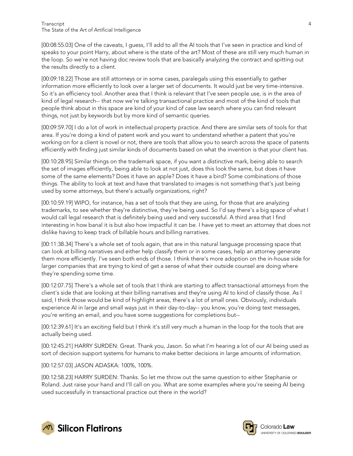[00:08:55.03] One of the caveats, I guess, I'll add to all the AI tools that I've seen in practice and kind of speaks to your point Harry, about where is the state of the art? Most of these are still very much human in the loop. So we're not having doc review tools that are basically analyzing the contract and spitting out the results directly to a client.

[00:09:18.22] Those are still attorneys or in some cases, paralegals using this essentially to gather information more efficiently to look over a larger set of documents. It would just be very time-intensive. So it's an efficiency tool. Another area that I think is relevant that I've seen people use, is in the area of kind of legal research-- that now we're talking transactional practice and most of the kind of tools that people think about in this space are kind of your kind of case law search where you can find relevant things, not just by keywords but by more kind of semantic queries.

[00:09:59.70] I do a lot of work in intellectual property practice. And there are similar sets of tools for that area. If you're doing a kind of patent work and you want to understand whether a patent that you're working on for a client is novel or not, there are tools that allow you to search across the space of patents efficiently with finding just similar kinds of documents based on what the invention is that your client has.

[00:10:28.95] Similar things on the trademark space, if you want a distinctive mark, being able to search the set of images efficiently, being able to look at not just, does this look the same, but does it have some of the same elements? Does it have an apple? Does it have a bird? Some combinations of those things. The ability to look at text and have that translated to images is not something that's just being used by some attorneys, but there's actually organizations, right?

[00:10:59.19] WIPO, for instance, has a set of tools that they are using, for those that are analyzing trademarks, to see whether they're distinctive, they're being used. So I'd say there's a big space of what I would call legal research that is definitely being used and very successful. A third area that I find interesting in how banal it is but also how impactful it can be. I have yet to meet an attorney that does not dislike having to keep track of billable hours and billing narratives.

[00:11:38.34] There's a whole set of tools again, that are in this natural language processing space that can look at billing narratives and either help classify them or in some cases, help an attorney generate them more efficiently. I've seen both ends of those. I think there's more adoption on the in-house side for larger companies that are trying to kind of get a sense of what their outside counsel are doing where they're spending some time.

[00:12:07.75] There's a whole set of tools that I think are starting to affect transactional attorneys from the client's side that are looking at their billing narratives and they're using AI to kind of classify those. As I said, I think those would be kind of highlight areas, there's a lot of small ones. Obviously, individuals experience AI in large and small ways just in their day-to-day-- you know, you're doing text messages, you're writing an email, and you have some suggestions for completions but--

[00:12:39.61] It's an exciting field but I think it's still very much a human in the loop for the tools that are actually being used.

[00:12:45.21] HARRY SURDEN: Great. Thank you, Jason. So what I'm hearing a lot of our AI being used as sort of decision support systems for humans to make better decisions in large amounts of information.

[00:12:57.03] JASON ADASKA: 100%, 100%.

[00:12:58.23] HARRY SURDEN: Thanks. So let me throw out the same question to either Stephanie or Roland. Just raise your hand and I'll call on you. What are some examples where you're seeing AI being used successfully in transactional practice out there in the world?



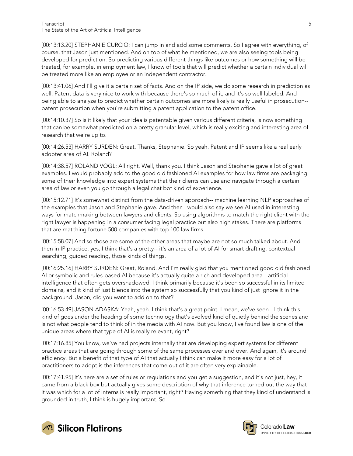[00:13:13.20] STEPHANIE CURCIO: I can jump in and add some comments. So I agree with everything, of course, that Jason just mentioned. And on top of what he mentioned, we are also seeing tools being developed for prediction. So predicting various different things like outcomes or how something will be treated, for example, in employment law, I know of tools that will predict whether a certain individual will be treated more like an employee or an independent contractor.

[00:13:41.06] And I'll give it a certain set of facts. And on the IP side, we do some research in prediction as well. Patent data is very nice to work with because there's so much of it, and it's so well labeled. And being able to analyze to predict whether certain outcomes are more likely is really useful in prosecution- patent prosecution when you're submitting a patent application to the patent office.

[00:14:10.37] So is it likely that your idea is patentable given various different criteria, is now something that can be somewhat predicted on a pretty granular level, which is really exciting and interesting area of research that we're up to.

[00:14:26.53] HARRY SURDEN: Great. Thanks, Stephanie. So yeah. Patent and IP seems like a real early adopter area of AI. Roland?

[00:14:38.57] ROLAND VOGL: All right. Well, thank you. I think Jason and Stephanie gave a lot of great examples. I would probably add to the good old fashioned AI examples for how law firms are packaging some of their knowledge into expert systems that their clients can use and navigate through a certain area of law or even you go through a legal chat bot kind of experience.

[00:15:12.71] It's somewhat distinct from the data-driven approach-- machine learning NLP approaches of the examples that Jason and Stephanie gave. And then I would also say we see AI used in interesting ways for matchmaking between lawyers and clients. So using algorithms to match the right client with the right lawyer is happening in a consumer facing legal practice but also high stakes. There are platforms that are matching fortune 500 companies with top 100 law firms.

[00:15:58.07] And so those are some of the other areas that maybe are not so much talked about. And then in IP practice, yes, I think that's a pretty-- it's an area of a lot of AI for smart drafting, contextual searching, guided reading, those kinds of things.

[00:16:25.16] HARRY SURDEN: Great, Roland. And I'm really glad that you mentioned good old fashioned AI or symbolic and rules-based AI because it's actually quite a rich and developed area-- artificial intelligence that often gets overshadowed. I think primarily because it's been so successful in its limited domains, and it kind of just blends into the system so successfully that you kind of just ignore it in the background. Jason, did you want to add on to that?

[00:16:53.49] JASON ADASKA: Yeah, yeah. I think that's a great point. I mean, we've seen-- I think this kind of goes under the heading of some technology that's evolved kind of quietly behind the scenes and is not what people tend to think of in the media with AI now. But you know, I've found law is one of the unique areas where that type of AI is really relevant, right?

[00:17:16.85] You know, we've had projects internally that are developing expert systems for different practice areas that are going through some of the same processes over and over. And again, it's around efficiency. But a benefit of that type of AI that actually I think can make it more easy for a lot of practitioners to adopt is the inferences that come out of it are often very explainable.

[00:17:41.95] It's here are a set of rules or regulations and you get a suggestion, and it's not just, hey, it came from a black box but actually gives some description of why that inference turned out the way that it was which for a lot of interns is really important, right? Having something that they kind of understand is grounded in truth, I think is hugely important. So--



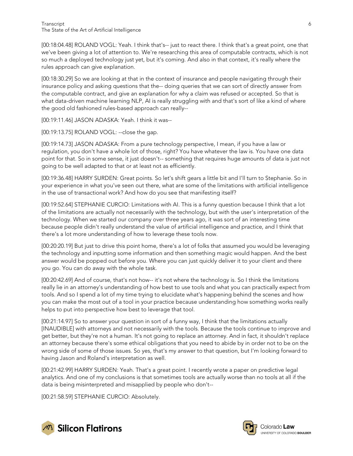[00:18:04.48] ROLAND VOGL: Yeah. I think that's-- just to react there. I think that's a great point, one that we've been giving a lot of attention to. We're researching this area of computable contracts, which is not so much a deployed technology just yet, but it's coming. And also in that context, it's really where the rules approach can give explanation.

[00:18:30.29] So we are looking at that in the context of insurance and people navigating through their insurance policy and asking questions that the-- doing queries that we can sort of directly answer from the computable contract, and give an explanation for why a claim was refused or accepted. So that is what data-driven machine learning NLP, AI is really struggling with and that's sort of like a kind of where the good old fashioned rules-based approach can really--

[00:19:11.46] JASON ADASKA: Yeah. I think it was--

[00:19:13.75] ROLAND VOGL: --close the gap.

[00:19:14.73] JASON ADASKA: From a pure technology perspective, I mean, if you have a law or regulation, you don't have a whole lot of those, right? You have whatever the law is. You have one data point for that. So in some sense, it just doesn't-- something that requires huge amounts of data is just not going to be well adapted to that or at least not as efficiently.

[00:19:36.48] HARRY SURDEN: Great points. So let's shift gears a little bit and I'll turn to Stephanie. So in your experience in what you've seen out there, what are some of the limitations with artificial intelligence in the use of transactional work? And how do you see that manifesting itself?

[00:19:52.64] STEPHANIE CURCIO: Limitations with AI. This is a funny question because I think that a lot of the limitations are actually not necessarily with the technology, but with the user's interpretation of the technology. When we started our company over three years ago, it was sort of an interesting time because people didn't really understand the value of artificial intelligence and practice, and I think that there's a lot more understanding of how to leverage these tools now.

[00:20:20.19] But just to drive this point home, there's a lot of folks that assumed you would be leveraging the technology and inputting some information and then something magic would happen. And the best answer would be popped out before you. Where you can just quickly deliver it to your client and there you go. You can do away with the whole task.

[00:20:42.69] And of course, that's not how-- it's not where the technology is. So I think the limitations really lie in an attorney's understanding of how best to use tools and what you can practically expect from tools. And so I spend a lot of my time trying to elucidate what's happening behind the scenes and how you can make the most out of a tool in your practice because understanding how something works really helps to put into perspective how best to leverage that tool.

[00:21:14.97] So to answer your question in sort of a funny way, I think that the limitations actually [INAUDIBLE] with attorneys and not necessarily with the tools. Because the tools continue to improve and get better, but they're not a human. It's not going to replace an attorney. And in fact, it shouldn't replace an attorney because there's some ethical obligations that you need to abide by in order not to be on the wrong side of some of those issues. So yes, that's my answer to that question, but I'm looking forward to having Jason and Roland's interpretation as well.

[00:21:42.99] HARRY SURDEN: Yeah. That's a great point. I recently wrote a paper on predictive legal analytics. And one of my conclusions is that sometimes tools are actually worse than no tools at all if the data is being misinterpreted and misapplied by people who don't--

[00:21:58.59] STEPHANIE CURCIO: Absolutely.



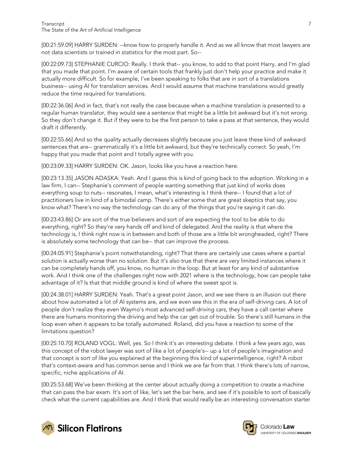[00:21:59.09] HARRY SURDEN: --know how to properly handle it. And as we all know that most lawyers are not data scientists or trained in statistics for the most part. So--

[00:22:09.73] STEPHANIE CURCIO: Really. I think that-- you know, to add to that point Harry, and I'm glad that you made that point. I'm aware of certain tools that frankly just don't help your practice and make it actually more difficult. So for example, I've been speaking to folks that are in sort of a translations business-- using AI for translation services. And I would assume that machine translations would greatly reduce the time required for translations.

[00:22:36.06] And in fact, that's not really the case because when a machine translation is presented to a regular human translator, they would see a sentence that might be a little bit awkward but it's not wrong. So they don't change it. But if they were to be the first person to take a pass at that sentence, they would draft it differently.

[00:22:55.66] And so the quality actually decreases slightly because you just leave these kind of awkward sentences that are-- grammatically it's a little bit awkward, but they're technically correct. So yeah, I'm happy that you made that point and I totally agree with you.

[00:23:09.33] HARRY SURDEN: OK. Jason, looks like you have a reaction here.

[00:23:13.35] JASON ADASKA: Yeah. And I guess this is kind of going back to the adoption. Working in a law firm, I can-- Stephanie's comment of people wanting something that just kind of works does everything soup to nuts-- resonates, I mean, what's interesting is I think there-- I found that a lot of practitioners live in kind of a bimodal camp. There's either some that are great skeptics that say, you know what? There's no way the technology can do any of the things that you're saying it can do.

[00:23:43.86] Or are sort of the true believers and sort of are expecting the tool to be able to do everything, right? So they're very hands off and kind of delegated. And the reality is that where the technology is, I think right now is in between and both of those are a little bit wrongheaded, right? There is absolutely some technology that can be-- that can improve the process.

[00:24:05.91] Stephanie's point notwithstanding, right? That there are certainly use cases where a partial solution is actually worse than no solution. But it's also true that there are very limited instances where it can be completely hands off, you know, no human in the loop. But at least for any kind of substantive work. And I think one of the challenges right now with 2021 where is the technology, how can people take advantage of it? Is that that middle ground is kind of where the sweet spot is.

[00:24:38.01] HARRY SURDEN: Yeah. That's a great point Jason, and we see there is an illusion out there about how automated a lot of AI systems are, and we even see this in the era of self-driving cars. A lot of people don't realize they even Waymo's most advanced self-driving cars, they have a call center where there are humans monitoring the driving and help the car get out of trouble. So there's still humans in the loop even when it appears to be totally automated. Roland, did you have a reaction to some of the limitations question?

[00:25:10.70] ROLAND VOGL: Well, yes. So I think it's an interesting debate. I think a few years ago, was this concept of the robot lawyer was sort of like a lot of people's-- up a lot of people's imagination and that concept is sort of like you explained at the beginning this kind of superintelligence, right? A robot that's context-aware and has common sense and I think we are far from that. I think there's lots of narrow, specific, niche applications of AI.

[00:25:53.68] We've been thinking at the center about actually doing a competition to create a machine that can pass the bar exam. It's sort of like, let's set the bar here, and see if it's possible to sort of basically check what the current capabilities are. And I think that would really be an interesting conversation starter





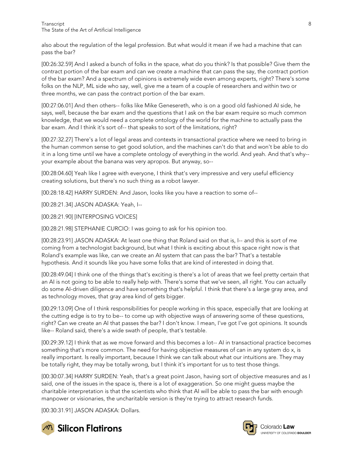also about the regulation of the legal profession. But what would it mean if we had a machine that can pass the bar?

[00:26:32.59] And I asked a bunch of folks in the space, what do you think? Is that possible? Give them the contract portion of the bar exam and can we create a machine that can pass the say, the contract portion of the bar exam? And a spectrum of opinions is extremely wide even among experts, right? There's some folks on the NLP, ML side who say, well, give me a team of a couple of researchers and within two or three months, we can pass the contract portion of the bar exam.

[00:27:06.01] And then others-- folks like Mike Genesereth, who is on a good old fashioned AI side, he says, well, because the bar exam and the questions that I ask on the bar exam require so much common knowledge, that we would need a complete ontology of the world for the machine to actually pass the bar exam. And I think it's sort of-- that speaks to sort of the limitations, right?

[00:27:32.27] There's a lot of legal areas and contexts in transactional practice where we need to bring in the human common sense to get good solution, and the machines can't do that and won't be able to do it in a long time until we have a complete ontology of everything in the world. And yeah. And that's why- your example about the banana was very apropos. But anyway, so--

[00:28:04.60] Yeah like I agree with everyone, I think that's very impressive and very useful efficiency creating solutions, but there's no such thing as a robot lawyer.

[00:28:18.42] HARRY SURDEN: And Jason, looks like you have a reaction to some of--

[00:28:21.34] JASON ADASKA: Yeah, I--

[00:28:21.90] [INTERPOSING VOICES]

[00:28:21.98] STEPHANIE CURCIO: I was going to ask for his opinion too.

[00:28:23.91] JASON ADASKA: At least one thing that Roland said on that is, I-- and this is sort of me coming from a technologist background, but what I think is exciting about this space right now is that Roland's example was like, can we create an AI system that can pass the bar? That's a testable hypothesis. And it sounds like you have some folks that are kind of interested in doing that.

[00:28:49.04] I think one of the things that's exciting is there's a lot of areas that we feel pretty certain that an AI is not going to be able to really help with. There's some that we've seen, all right. You can actually do some AI-driven diligence and have something that's helpful. I think that there's a large gray area, and as technology moves, that gray area kind of gets bigger.

[00:29:13.09] One of I think responsibilities for people working in this space, especially that are looking at the cutting edge is to try to be-- to come up with objective ways of answering some of these questions, right? Can we create an AI that passes the bar? I don't know. I mean, I've got I've got opinions. It sounds like-- Roland said, there's a wide swath of people, that's testable.

[00:29:39.12] I think that as we move forward and this becomes a lot-- AI in transactional practice becomes something that's more common. The need for having objective measures of can in any system do x, is really important. Is really important, because I think we can talk about what our intuitions are. They may be totally right, they may be totally wrong, but I think it's important for us to test those things.

[00:30:07.34] HARRY SURDEN: Yeah, that's a great point Jason, having sort of objective measures and as I said, one of the issues in the space is, there is a lot of exaggeration. So one might guess maybe the charitable interpretation is that the scientists who think that AI will be able to pass the bar with enough manpower or visionaries, the uncharitable version is they're trying to attract research funds.

[00:30:31.91] JASON ADASKA: Dollars.



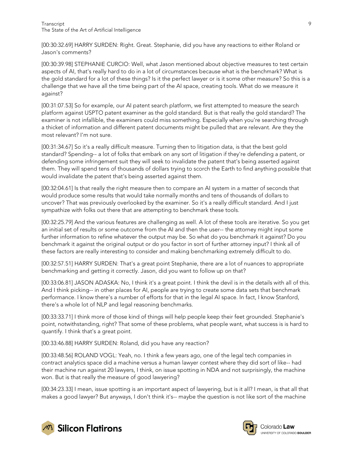[00:30:32.69] HARRY SURDEN: Right. Great. Stephanie, did you have any reactions to either Roland or Jason's comments?

[00:30:39.98] STEPHANIE CURCIO: Well, what Jason mentioned about objective measures to test certain aspects of AI, that's really hard to do in a lot of circumstances because what is the benchmark? What is the gold standard for a lot of these things? Is it the perfect lawyer or is it some other measure? So this is a challenge that we have all the time being part of the AI space, creating tools. What do we measure it against?

[00:31:07.53] So for example, our AI patent search platform, we first attempted to measure the search platform against USPTO patent examiner as the gold standard. But is that really the gold standard? The examiner is not infallible, the examiners could miss something. Especially when you're searching through a thicket of information and different patent documents might be pulled that are relevant. Are they the most relevant? I'm not sure.

[00:31:34.67] So it's a really difficult measure. Turning then to litigation data, is that the best gold standard? Spending-- a lot of folks that embark on any sort of litigation if they're defending a patent, or defending some infringement suit they will seek to invalidate the patent that's being asserted against them. They will spend tens of thousands of dollars trying to scorch the Earth to find anything possible that would invalidate the patent that's being asserted against them.

[00:32:04.61] Is that really the right measure then to compare an AI system in a matter of seconds that would produce some results that would take normally months and tens of thousands of dollars to uncover? That was previously overlooked by the examiner. So it's a really difficult standard. And I just sympathize with folks out there that are attempting to benchmark these tools.

[00:32:25.79] And the various features are challenging as well. A lot of these tools are iterative. So you get an initial set of results or some outcome from the AI and then the user-- the attorney might input some further information to refine whatever the output may be. So what do you benchmark it against? Do you benchmark it against the original output or do you factor in sort of further attorney input? I think all of these factors are really interesting to consider and making benchmarking extremely difficult to do.

[00:32:57.51] HARRY SURDEN: That's a great point Stephanie, there are a lot of nuances to appropriate benchmarking and getting it correctly. Jason, did you want to follow up on that?

[00:33:06.81] JASON ADASKA: No, I think it's a great point. I think the devil is in the details with all of this. And I think picking-- in other places for AI, people are trying to create some data sets that benchmark performance. I know there's a number of efforts for that in the legal AI space. In fact, I know Stanford, there's a whole lot of NLP and legal reasoning benchmarks.

[00:33:33.71] I think more of those kind of things will help people keep their feet grounded. Stephanie's point, notwithstanding, right? That some of these problems, what people want, what success is is hard to quantify. I think that's a great point.

[00:33:46.88] HARRY SURDEN: Roland, did you have any reaction?

[00:33:48.56] ROLAND VOGL: Yeah, no. I think a few years ago, one of the legal tech companies in contract analytics space did a machine versus a human lawyer contest where they did sort of like-- had their machine run against 20 lawyers, I think, on issue spotting in NDA and not surprisingly, the machine won. But is that really the measure of good lawyering?

[00:34:23.33] I mean, issue spotting is an important aspect of lawyering, but is it all? I mean, is that all that makes a good lawyer? But anyways, I don't think it's-- maybe the question is not like sort of the machine





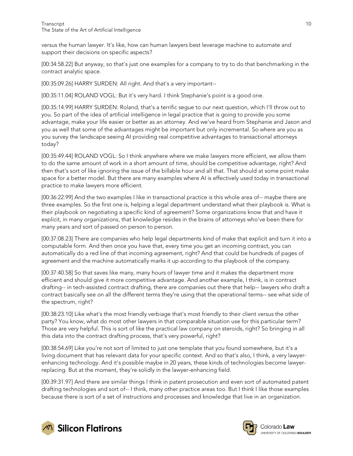versus the human lawyer. It's like, how can human lawyers best leverage machine to automate and support their decisions on specific aspects?

[00:34:58.22] But anyway, so that's just one examples for a company to try to do that benchmarking in the contract analytic space.

[00:35:09.26] HARRY SURDEN: All right. And that's a very important--

[00:35:11.04] ROLAND VOGL: But it's very hard. I think Stephanie's point is a good one.

[00:35:14.99] HARRY SURDEN: Roland, that's a terrific segue to our next question, which I'll throw out to you. So part of the idea of artificial intelligence in legal practice that is going to provide you some advantage, make your life easier or better as an attorney. And we've heard from Stephanie and Jason and you as well that some of the advantages might be important but only incremental. So where are you as you survey the landscape seeing AI providing real competitive advantages to transactional attorneys today?

[00:35:49.44] ROLAND VOGL: So I think anywhere where we make lawyers more efficient, we allow them to do the same amount of work in a short amount of time, should be competitive advantage, right? And then that's sort of like ignoring the issue of the billable hour and all that. That should at some point make space for a better model. But there are many examples where AI is effectively used today in transactional practice to make lawyers more efficient.

[00:36:22.99] And the two examples I like in transactional practice is this whole area of-- maybe there are three examples. So the first one is, helping a legal department understand what their playbook is. What is their playbook on negotiating a specific kind of agreement? Some organizations know that and have it explicit, in many organizations, that knowledge resides in the brains of attorneys who've been there for many years and sort of passed on person to person.

[00:37:08.23] There are companies who help legal departments kind of make that explicit and turn it into a computable form. And then once you have that, every time you get an incoming contract, you can automatically do a red line of that incoming agreement, right? And that could be hundreds of pages of agreement and the machine automatically marks it up according to the playbook of the company.

[00:37:40.58] So that saves like many, many hours of lawyer time and it makes the department more efficient and should give it more competitive advantage. And another example, I think, is in contract drafting-- in tech-assisted contract drafting, there are companies out there that help-- lawyers who draft a contract basically see on all the different terms they're using that the operational terms-- see what side of the spectrum, right?

[00:38:23.10] Like what's the most friendly verbiage that's most friendly to their client versus the other party? You know, what do most other lawyers in that comparable situation use for this particular term? Those are very helpful. This is sort of like the practical law company on steroids, right? So bringing in all this data into the contract drafting process, that's very powerful, right?

[00:38:54.69] Like you're not sort of limited to just one template that you found somewhere, but it's a living document that has relevant data for your specific context. And so that's also, I think, a very lawyerenhancing technology. And it's possible maybe in 20 years, these kinds of technologies become lawyerreplacing. But at the moment, they're solidly in the lawyer-enhancing field.

[00:39:31.97] And there are similar things I think in patent prosecution and even sort of automated patent drafting technologies and sort of-- I think, many other practice areas too. But I think I like those examples because there is sort of a set of instructions and processes and knowledge that live in an organization.



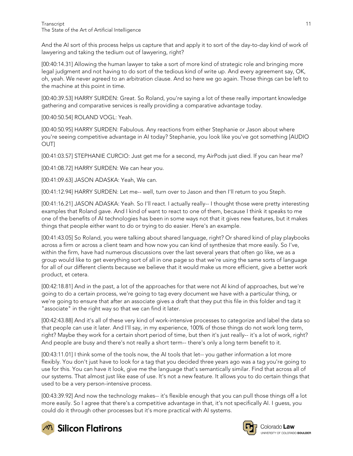And the AI sort of this process helps us capture that and apply it to sort of the day-to-day kind of work of lawyering and taking the tedium out of lawyering, right?

[00:40:14.31] Allowing the human lawyer to take a sort of more kind of strategic role and bringing more legal judgment and not having to do sort of the tedious kind of write up. And every agreement say, OK, oh, yeah. We never agreed to an arbitration clause. And so here we go again. Those things can be left to the machine at this point in time.

[00:40:39.53] HARRY SURDEN: Great. So Roland, you're saying a lot of these really important knowledge gathering and comparative services is really providing a comparative advantage today.

[00:40:50.54] ROLAND VOGL: Yeah.

[00:40:50.95] HARRY SURDEN: Fabulous. Any reactions from either Stephanie or Jason about where you're seeing competitive advantage in AI today? Stephanie, you look like you've got something [AUDIO OUT]

[00:41:03.57] STEPHANIE CURCIO: Just get me for a second, my AirPods just died. If you can hear me?

[00:41:08.72] HARRY SURDEN: We can hear you.

[00:41:09.63] JASON ADASKA: Yeah, We can.

[00:41:12.94] HARRY SURDEN: Let me-- well, turn over to Jason and then I'll return to you Steph.

[00:41:16.21] JASON ADASKA: Yeah. So I'll react. I actually really-- I thought those were pretty interesting examples that Roland gave. And I kind of want to react to one of them, because I think it speaks to me one of the benefits of AI technologies has been in some ways not that it gives new features, but it makes things that people either want to do or trying to do easier. Here's an example.

[00:41:43.05] So Roland, you were talking about shared language, right? Or shared kind of play playbooks across a firm or across a client team and how now you can kind of synthesize that more easily. So I've, within the firm, have had numerous discussions over the last several years that often go like, we as a group would like to get everything sort of all in one page so that we're using the same sorts of language for all of our different clients because we believe that it would make us more efficient, give a better work product, et cetera.

[00:42:18.81] And in the past, a lot of the approaches for that were not AI kind of approaches, but we're going to do a certain process, we're going to tag every document we have with a particular thing, or we're going to ensure that after an associate gives a draft that they put this file in this folder and tag it "associate" in the right way so that we can find it later.

[00:42:43.88] And it's all of these very kind of work-intensive processes to categorize and label the data so that people can use it later. And I'll say, in my experience, 100% of those things do not work long term, right? Maybe they work for a certain short period of time, but then it's just really-- it's a lot of work, right? And people are busy and there's not really a short term-- there's only a long term benefit to it.

[00:43:11.01] I think some of the tools now, the AI tools that let-- you gather information a lot more flexibly. You don't just have to look for a tag that you decided three years ago was a tag you're going to use for this. You can have it look, give me the language that's semantically similar. Find that across all of our systems. That almost just like ease of use. It's not a new feature. It allows you to do certain things that used to be a very person-intensive process.

[00:43:39.92] And now the technology makes-- it's flexible enough that you can pull those things off a lot more easily. So I agree that there's a competitive advantage in that, it's not specifically AI. I guess, you could do it through other processes but it's more practical with AI systems.



**M** Silicon Flatirons

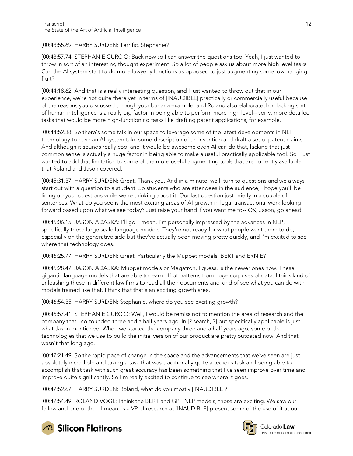[00:43:55.69] HARRY SURDEN: Terrific. Stephanie?

[00:43:57.74] STEPHANIE CURCIO: Back now so I can answer the questions too. Yeah, I just wanted to throw in sort of an interesting thought experiment. So a lot of people ask us about more high level tasks. Can the AI system start to do more lawyerly functions as opposed to just augmenting some low-hanging fruit?

[00:44:18.62] And that is a really interesting question, and I just wanted to throw out that in our experience, we're not quite there yet in terms of [INAUDIBLE] practically or commercially useful because of the reasons you discussed through your banana example, and Roland also elaborated on lacking sort of human intelligence is a really big factor in being able to perform more high level-- sorry, more detailed tasks that would be more high-functioning tasks like drafting patent applications, for example.

[00:44:52.38] So there's some talk in our space to leverage some of the latest developments in NLP technology to have an AI system take some description of an invention and draft a set of patent claims. And although it sounds really cool and it would be awesome even AI can do that, lacking that just common sense is actually a huge factor in being able to make a useful practically applicable tool. So I just wanted to add that limitation to some of the more useful augmenting tools that are currently available that Roland and Jason covered.

[00:45:31.37] HARRY SURDEN: Great. Thank you. And in a minute, we'll turn to questions and we always start out with a question to a student. So students who are attendees in the audience, I hope you'll be lining up your questions while we're thinking about it. Our last question just briefly in a couple of sentences. What do you see is the most exciting areas of AI growth in legal transactional work looking forward based upon what we see today? Just raise your hand if you want me to-- OK, Jason, go ahead.

[00:46:06.15] JASON ADASKA: I'll go. I mean, I'm personally impressed by the advances in NLP, specifically these large scale language models. They're not ready for what people want them to do, especially on the generative side but they've actually been moving pretty quickly, and I'm excited to see where that technology goes.

[00:46:25.77] HARRY SURDEN: Great. Particularly the Muppet models, BERT and ERNIE?

[00:46:28.47] JASON ADASKA: Muppet models or Megatron, I guess, is the newer ones now. These gigantic language models that are able to learn off of patterns from huge corpuses of data. I think kind of unleashing those in different law firms to read all their documents and kind of see what you can do with models trained like that. I think that that's an exciting growth area.

[00:46:54.35] HARRY SURDEN: Stephanie, where do you see exciting growth?

[00:46:57.41] STEPHANIE CURCIO: Well, I would be remiss not to mention the area of research and the company that I co-founded three and a half years ago. In [? search, ?] but specifically applicable is just what Jason mentioned. When we started the company three and a half years ago, some of the technologies that we use to build the initial version of our product are pretty outdated now. And that wasn't that long ago.

[00:47:21.49] So the rapid pace of change in the space and the advancements that we've seen are just absolutely incredible and taking a task that was traditionally quite a tedious task and being able to accomplish that task with such great accuracy has been something that I've seen improve over time and improve quite significantly. So I'm really excited to continue to see where it goes.

[00:47:52.67] HARRY SURDEN: Roland, what do you mostly [INAUDIBLE]?

[00:47:54.49] ROLAND VOGL: I think the BERT and GPT NLP models, those are exciting. We saw our fellow and one of the-- I mean, is a VP of research at [INAUDIBLE] present some of the use of it at our





Colorado Law **UNIVERSITY OF COLOBADO BOULDER**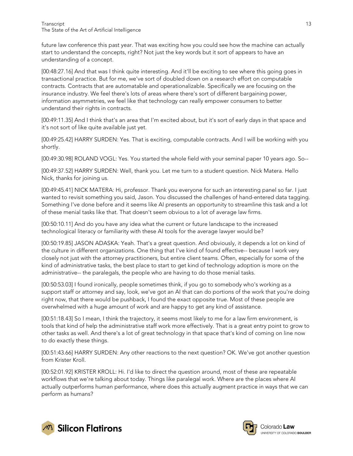future law conference this past year. That was exciting how you could see how the machine can actually start to understand the concepts, right? Not just the key words but it sort of appears to have an understanding of a concept.

[00:48:27.16] And that was I think quite interesting. And it'll be exciting to see where this going goes in transactional practice. But for me, we've sort of doubled down on a research effort on computable contracts. Contracts that are automatable and operationalizable. Specifically we are focusing on the insurance industry. We feel there's lots of areas where there's sort of different bargaining power, information asymmetries, we feel like that technology can really empower consumers to better understand their rights in contracts.

[00:49:11.35] And I think that's an area that I'm excited about, but it's sort of early days in that space and it's not sort of like quite available just yet.

[00:49:25.42] HARRY SURDEN: Yes. That is exciting, computable contracts. And I will be working with you shortly.

[00:49:30.98] ROLAND VOGL: Yes. You started the whole field with your seminal paper 10 years ago. So--

[00:49:37.52] HARRY SURDEN: Well, thank you. Let me turn to a student question. Nick Matera. Hello Nick, thanks for joining us.

[00:49:45.41] NICK MATERA: Hi, professor. Thank you everyone for such an interesting panel so far. I just wanted to revisit something you said, Jason. You discussed the challenges of hand-entered data tagging. Something I've done before and it seems like AI presents an opportunity to streamline this task and a lot of these menial tasks like that. That doesn't seem obvious to a lot of average law firms.

[00:50:10.11] And do you have any idea what the current or future landscape to the increased technological literacy or familiarity with these AI tools for the average lawyer would be?

[00:50:19.85] JASON ADASKA: Yeah. That's a great question. And obviously, it depends a lot on kind of the culture in different organizations. One thing that I've kind of found effective-- because I work very closely not just with the attorney practitioners, but entire client teams. Often, especially for some of the kind of administrative tasks, the best place to start to get kind of technology adoption is more on the administrative-- the paralegals, the people who are having to do those menial tasks.

[00:50:53.03] I found ironically, people sometimes think, if you go to somebody who's working as a support staff or attorney and say, look, we've got an AI that can do portions of the work that you're doing right now, that there would be pushback, I found the exact opposite true. Most of these people are overwhelmed with a huge amount of work and are happy to get any kind of assistance.

[00:51:18.43] So I mean, I think the trajectory, it seems most likely to me for a law firm environment, is tools that kind of help the administrative staff work more effectively. That is a great entry point to grow to other tasks as well. And there's a lot of great technology in that space that's kind of coming on line now to do exactly these things.

[00:51:43.66] HARRY SURDEN: Any other reactions to the next question? OK. We've got another question from Krister Kroll.

[00:52:01.92] KRISTER KROLL: Hi. I'd like to direct the question around, most of these are repeatable workflows that we're talking about today. Things like paralegal work. Where are the places where AI actually outperforms human performance, where does this actually augment practice in ways that we can perform as humans?



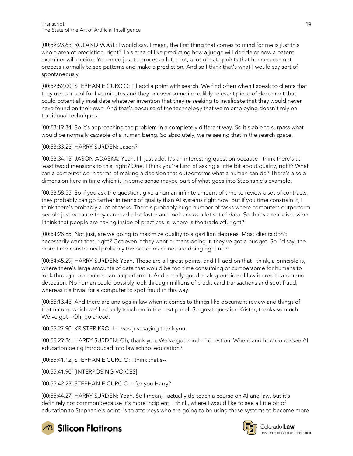[00:52:23.63] ROLAND VOGL: I would say, I mean, the first thing that comes to mind for me is just this whole area of prediction, right? This area of like predicting how a judge will decide or how a patent examiner will decide. You need just to process a lot, a lot, a lot of data points that humans can not process normally to see patterns and make a prediction. And so I think that's what I would say sort of spontaneously.

[00:52:52.00] STEPHANIE CURCIO: I'll add a point with search. We find often when I speak to clients that they use our tool for five minutes and they uncover some incredibly relevant piece of document that could potentially invalidate whatever invention that they're seeking to invalidate that they would never have found on their own. And that's because of the technology that we're employing doesn't rely on traditional techniques.

[00:53:19.34] So it's approaching the problem in a completely different way. So it's able to surpass what would be normally capable of a human being. So absolutely, we're seeing that in the search space.

#### [00:53:33.23] HARRY SURDEN: Jason?

[00:53:34.13] JASON ADASKA: Yeah. I'll just add. It's an interesting question because I think there's at least two dimensions to this, right? One, I think you're kind of asking a little bit about quality, right? What can a computer do in terms of making a decision that outperforms what a human can do? There's also a dimension here in time which is in some sense maybe part of what goes into Stephanie's example.

[00:53:58.55] So if you ask the question, give a human infinite amount of time to review a set of contracts, they probably can go farther in terms of quality than AI systems right now. But if you time constrain it, I think there's probably a lot of tasks. There's probably huge number of tasks where computers outperform people just because they can read a lot faster and look across a lot set of data. So that's a real discussion I think that people are having inside of practices is, where is the trade off, right?

[00:54:28.85] Not just, are we going to maximize quality to a gazillion degrees. Most clients don't necessarily want that, right? Got even if they want humans doing it, they've got a budget. So I'd say, the more time-constrained probably the better machines are doing right now.

[00:54:45.29] HARRY SURDEN: Yeah. Those are all great points, and I'll add on that I think, a principle is, where there's large amounts of data that would be too time consuming or cumbersome for humans to look through, computers can outperform it. And a really good analog outside of law is credit card fraud detection. No human could possibly look through millions of credit card transactions and spot fraud, whereas it's trivial for a computer to spot fraud in this way.

[00:55:13.43] And there are analogs in law when it comes to things like document review and things of that nature, which we'll actually touch on in the next panel. So great question Krister, thanks so much. We've got-- Oh, go ahead.

[00:55:27.90] KRISTER KROLL: I was just saying thank you.

[00:55:29.36] HARRY SURDEN: Oh, thank you. We've got another question. Where and how do we see AI education being introduced into law school education?

[00:55:41.12] STEPHANIE CURCIO: I think that's--

[00:55:41.90] [INTERPOSING VOICES]

[00:55:42.23] STEPHANIE CURCIO: --for you Harry?

[00:55:44.27] HARRY SURDEN: Yeah. So I mean, I actually do teach a course on AI and law, but it's definitely not common because it's more incipient. I think, where I would like to see a little bit of education to Stephanie's point, is to attorneys who are going to be using these systems to become more



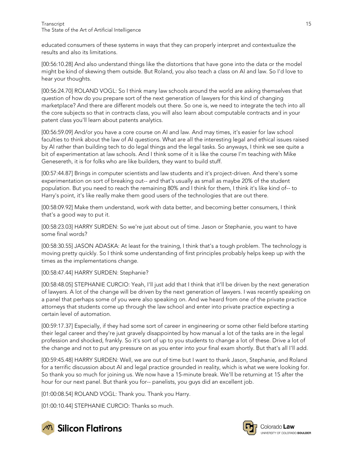educated consumers of these systems in ways that they can properly interpret and contextualize the results and also its limitations.

[00:56:10.28] And also understand things like the distortions that have gone into the data or the model might be kind of skewing them outside. But Roland, you also teach a class on AI and law. So I'd love to hear your thoughts.

[00:56:24.70] ROLAND VOGL: So I think many law schools around the world are asking themselves that question of how do you prepare sort of the next generation of lawyers for this kind of changing marketplace? And there are different models out there. So one is, we need to integrate the tech into all the core subjects so that in contracts class, you will also learn about computable contracts and in your patent class you'll learn about patents analytics.

[00:56:59.09] And/or you have a core course on AI and law. And may times, it's easier for law school faculties to think about the law of AI questions. What are all the interesting legal and ethical issues raised by AI rather than building tech to do legal things and the legal tasks. So anyways, I think we see quite a bit of experimentation at law schools. And I think some of it is like the course I'm teaching with Mike Genesereth, it is for folks who are like builders, they want to build stuff.

[00:57:44.87] Brings in computer scientists and law students and it's project-driven. And there's some experimentation on sort of breaking out-- and that's usually as small as maybe 20% of the student population. But you need to reach the remaining 80% and I think for them, I think it's like kind of-- to Harry's point, it's like really make them good users of the technologies that are out there.

[00:58:09.92] Make them understand, work with data better, and becoming better consumers, I think that's a good way to put it.

[00:58:23.03] HARRY SURDEN: So we're just about out of time. Jason or Stephanie, you want to have some final words?

[00:58:30.55] JASON ADASKA: At least for the training, I think that's a tough problem. The technology is moving pretty quickly. So I think some understanding of first principles probably helps keep up with the times as the implementations change.

[00:58:47.44] HARRY SURDEN: Stephanie?

[00:58:48.05] STEPHANIE CURCIO: Yeah, I'll just add that I think that it'll be driven by the next generation of lawyers. A lot of the change will be driven by the next generation of lawyers. I was recently speaking on a panel that perhaps some of you were also speaking on. And we heard from one of the private practice attorneys that students come up through the law school and enter into private practice expecting a certain level of automation.

[00:59:17.37] Especially, if they had some sort of career in engineering or some other field before starting their legal career and they're just gravely disappointed by how manual a lot of the tasks are in the legal profession and shocked, frankly. So it's sort of up to you students to change a lot of these. Drive a lot of the change and not to put any pressure on as you enter into your final exam shortly. But that's all I'll add.

[00:59:45.48] HARRY SURDEN: Well, we are out of time but I want to thank Jason, Stephanie, and Roland for a terrific discussion about AI and legal practice grounded in reality, which is what we were looking for. So thank you so much for joining us. We now have a 15-minute break. We'll be returning at 15 after the hour for our next panel. But thank you for-- panelists, you guys did an excellent job.

[01:00:08.54] ROLAND VOGL: Thank you. Thank you Harry.

[01:00:10.44] STEPHANIE CURCIO: Thanks so much.



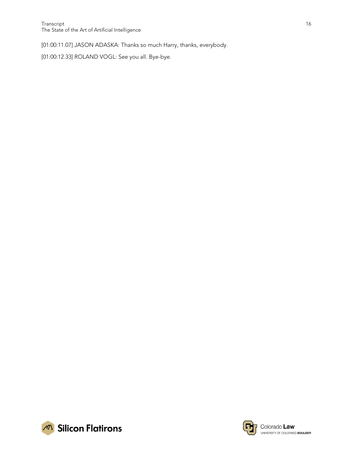[01:00:11.07] JASON ADASKA: Thanks so much Harry, thanks, everybody.

[01:00:12.33] ROLAND VOGL: See you all. Bye-bye.



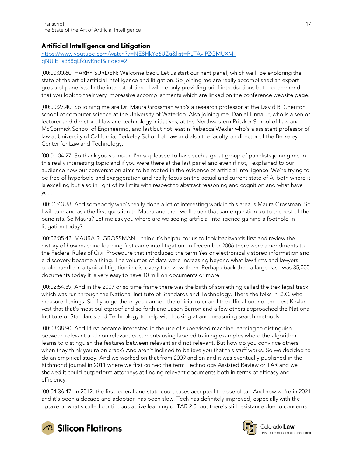### <span id="page-16-0"></span>Artificial Intelligence and Litigation

[https://www.youtube.com/watch?v=NE8HkYo6UZg&list=PLTAvIPZGMUXM](https://www.youtube.com/watch?v=NE8HkYo6UZg&list=PLTAvIPZGMUXM-qNUiETa388qLfZuyRndI&index=2)[qNUiETa388qLfZuyRndI&index=2](https://www.youtube.com/watch?v=NE8HkYo6UZg&list=PLTAvIPZGMUXM-qNUiETa388qLfZuyRndI&index=2)

[00:00:00.60] HARRY SURDEN: Welcome back. Let us start our next panel, which we'll be exploring the state of the art of artificial intelligence and litigation. So joining me are really accomplished an expert group of panelists. In the interest of time, I will be only providing brief introductions but I recommend that you look to their very impressive accomplishments which are linked on the conference website page.

[00:00:27.40] So joining me are Dr. Maura Grossman who's a research professor at the David R. Cheriton school of computer science at the University of Waterloo. Also joining me, Daniel Linna Jr, who is a senior lecturer and director of law and technology initiatives, at the Northwestern Pritzker School of Law and McCormick School of Engineering, and last but not least is Rebecca Wexler who's a assistant professor of law at University of California, Berkeley School of Law and also the faculty co-director of the Berkeley Center for Law and Technology.

[00:01:04.27] So thank you so much. I'm so pleased to have such a great group of panelists joining me in this really interesting topic and if you were there at the last panel and even if not, I explained to our audience how our conversation aims to be rooted in the evidence of artificial intelligence. We're trying to be free of hyperbole and exaggeration and really focus on the actual and current state of AI both where it is excelling but also in light of its limits with respect to abstract reasoning and cognition and what have you.

[00:01:43.38] And somebody who's really done a lot of interesting work in this area is Maura Grossman. So I will turn and ask the first question to Maura and then we'll open that same question up to the rest of the panelists. So Maura? Let me ask you where are we seeing artificial intelligence gaining a foothold in litigation today?

[00:02:05.42] MAURA R. GROSSMAN: I think it's helpful for us to look backwards first and review the history of how machine learning first came into litigation. In December 2006 there were amendments to the Federal Rules of Civil Procedure that introduced the term Yes or electronically stored information and e-discovery became a thing. The volumes of data were increasing beyond what law firms and lawyers could handle in a typical litigation in discovery to review them. Perhaps back then a large case was 35,000 documents today it is very easy to have 10 million documents or more.

[00:02:54.39] And in the 2007 or so time frame there was the birth of something called the trek legal track which was run through the National Institute of Standards and Technology. There the folks in D.C. who measured things. So if you go there, you can see the official ruler and the official pound, the best Kevlar vest that that's most bulletproof and so forth and Jason Barron and a few others approached the National Institute of Standards and Technology to help with looking at and measuring search methods.

[00:03:38.90] And I first became interested in the use of supervised machine learning to distinguish between relevant and non relevant documents using labeled training examples where the algorithm learns to distinguish the features between relevant and not relevant. But how do you convince others when they think you're on crack? And aren't inclined to believe you that this stuff works. So we decided to do an empirical study. And we worked on that from 2009 and on and it was eventually published in the Richmond journal in 2011 where we first coined the term Technology Assisted Review or TAR and we showed it could outperform attorneys at finding relevant documents both in terms of efficacy and efficiency.

[00:04:36.47] In 2012, the first federal and state court cases accepted the use of tar. And now we're in 2021 and it's been a decade and adoption has been slow. Tech has definitely improved, especially with the uptake of what's called continuous active learning or TAR 2.0, but there's still resistance due to concerns



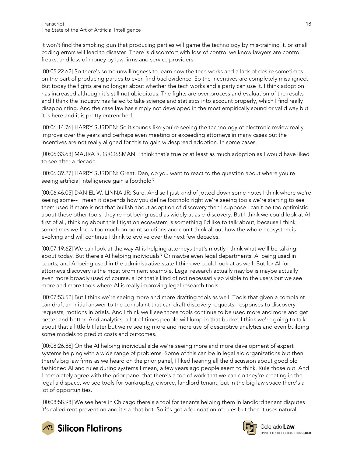it won't find the smoking gun that producing parties will game the technology by mis-training it, or small coding errors will lead to disaster. There is discomfort with loss of control we know lawyers are control freaks, and loss of money by law firms and service providers.

[00:05:22.62] So there's some unwillingness to learn how the tech works and a lack of desire sometimes on the part of producing parties to even find bad evidence. So the incentives are completely misaligned. But today the fights are no longer about whether the tech works and a party can use it. I think adoption has increased although it's still not ubiquitous. The fights are over process and evaluation of the results and I think the industry has failed to take science and statistics into account properly, which I find really disappointing. And the case law has simply not developed in the most empirically sound or valid way but it is here and it is pretty entrenched.

[00:06:14.76] HARRY SURDEN: So it sounds like you're seeing the technology of electronic review really improve over the years and perhaps even meeting or exceeding attorneys in many cases but the incentives are not really aligned for this to gain widespread adoption. In some cases.

[00:06:33.63] MAURA R. GROSSMAN: I think that's true or at least as much adoption as I would have liked to see after a decade.

[00:06:39.27] HARRY SURDEN: Great. Dan, do you want to react to the question about where you're seeing artificial intelligence gain a foothold?

[00:06:46.05] DANIEL W. LINNA JR: Sure. And so I just kind of jotted down some notes I think where we're seeing some-- I mean it depends how you define foothold right we're seeing tools we're starting to see them used if more is not that bullish about adoption of discovery then I suppose I can't be too optimistic about these other tools, they're not being used as widely at as e-discovery. But I think we could look at AI first of all, thinking about this litigation ecosystem is something I'd like to talk about, because I think sometimes we focus too much on point solutions and don't think about how the whole ecosystem is evolving and will continue I think to evolve over the next few decades.

[00:07:19.62] We can look at the way AI is helping attorneys that's mostly I think what we'll be talking about today. But there's AI helping individuals? Or maybe even legal departments, AI being used in courts, and AI being used in the administrative state I think we could look at as well. But for AI for attorneys discovery is the most prominent example. Legal research actually may be is maybe actually even more broadly used of course, a lot that's kind of not necessarily so visible to the users but we see more and more tools where AI is really improving legal research tools.

[00:07:53.52] But I think we're seeing more and more drafting tools as well. Tools that given a complaint can draft an initial answer to the complaint that can draft discovery requests, responses to discovery requests, motions in briefs. And I think we'll see those tools continue to be used more and more and get better and better. And analytics, a lot of times people will lump in that bucket I think we're going to talk about that a little bit later but we're seeing more and more use of descriptive analytics and even building some models to predict costs and outcomes.

[00:08:26.88] On the AI helping individual side we're seeing more and more development of expert systems helping with a wide range of problems. Some of this can be in legal aid organizations but then there's big law firms as we heard on the prior panel, I liked hearing all the discussion about good old fashioned AI and rules during systems I mean, a few years ago people seem to think. Rule those out. And I completely agree with the prior panel that there's a ton of work that we can do they're creating in the legal aid space, we see tools for bankruptcy, divorce, landlord tenant, but in the big law space there's a lot of opportunities.

[00:08:58.98] We see here in Chicago there's a tool for tenants helping them in landlord tenant disputes it's called rent prevention and it's a chat bot. So it's got a foundation of rules but then it uses natural







Colorado Law **UNIVERSITY OF COLOBADO BOULDER**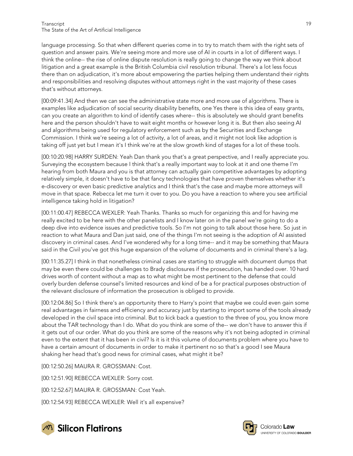language processing. So that when different queries come in to try to match them with the right sets of question and answer pairs. We're seeing more and more use of AI in courts in a lot of different ways. I think the online-- the rise of online dispute resolution is really going to change the way we think about litigation and a great example is the British Columbia civil resolution tribunal. There's a lot less focus there than on adjudication, it's more about empowering the parties helping them understand their rights and responsibilities and resolving disputes without attorneys right in the vast majority of these cases that's without attorneys.

[00:09:41.34] And then we can see the administrative state more and more use of algorithms. There is examples like adjudication of social security disability benefits, one Yes there is this idea of easy grants, can you create an algorithm to kind of identify cases where-- this is absolutely we should grant benefits here and the person shouldn't have to wait eight months or however long it is. But then also seeing AI and algorithms being used for regulatory enforcement such as by the Securities and Exchange Commission. I think we're seeing a lot of activity, a lot of areas, and it might not look like adoption is taking off just yet but I mean it's I think we're at the slow growth kind of stages for a lot of these tools.

[00:10:20.98] HARRY SURDEN: Yeah Dan thank you that's a great perspective, and I really appreciate you. Surveying the ecosystem because I think that's a really important way to look at it and one theme I'm hearing from both Maura and you is that attorney can actually gain competitive advantages by adopting relatively simple, it doesn't have to be that fancy technologies that have proven themselves whether it's e-discovery or even basic predictive analytics and I think that's the case and maybe more attorneys will move in that space. Rebecca let me turn it over to you. Do you have a reaction to where you see artificial intelligence taking hold in litigation?

[00:11:00.47] REBECCA WEXLER: Yeah Thanks. Thanks so much for organizing this and for having me really excited to be here with the other panelists and I know later on in the panel we're going to do a deep dive into evidence issues and predictive tools. So I'm not going to talk about those here. So just in reaction to what Maura and Dan just said, one of the things I'm not seeing is the adoption of AI assisted discovery in criminal cases. And I've wondered why for a long time-- and it may be something that Maura said in the Civil you've got this huge expansion of the volume of documents and in criminal there's a lag.

[00:11:35.27] I think in that nonetheless criminal cases are starting to struggle with document dumps that may be even there could be challenges to Brady disclosures if the prosecution, has handed over. 10 hard drives worth of content without a map as to what might be most pertinent to the defense that could overly burden defense counsel's limited resources and kind of be a for practical purposes obstruction of the relevant disclosure of information the prosecution is obliged to provide.

[00:12:04.86] So I think there's an opportunity there to Harry's point that maybe we could even gain some real advantages in fairness and efficiency and accuracy just by starting to import some of the tools already developed in the civil space into criminal. But to kick back a question to the three of you, you know more about the TAR technology than I do. What do you think are some of the-- we don't have to answer this if it gets out of our order. What do you think are some of the reasons why it's not being adopted in criminal even to the extent that it has been in civil? Is it is it this volume of documents problem where you have to have a certain amount of documents in order to make it pertinent no so that's a good I see Maura shaking her head that's good news for criminal cases, what might it be?

[00:12:50.26] MAURA R. GROSSMAN: Cost.

[00:12:51.90] REBECCA WEXLER: Sorry cost.

[00:12:52.67] MAURA R. GROSSMAN: Cost Yeah.

[00:12:54.93] REBECCA WEXLER: Well it's all expensive?



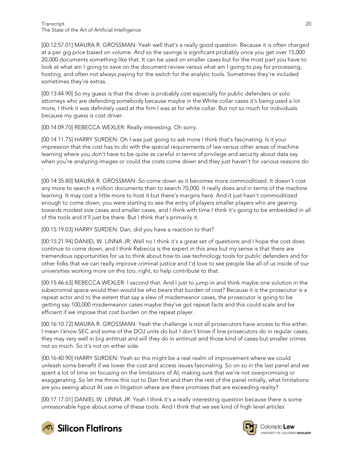[00:12:57.01] MAURA R. GROSSMAN: Yeah well that's a really good question. Because it is often charged at a per gig price based on volume. And so the savings is significant probably once you get over 15,000 20,000 documents something like that. It can be used on smaller cases but for the most part you have to look at what am I going to save on the document review versus what am I going to pay for processing, hosting, and often not always paying for the switch for the analytic tools. Sometimes they're included sometimes they're extras.

[00:13:44.90] So my guess is that the driver is probably cost especially for public defenders or solo attorneys who are defending somebody because maybe in the White collar cases it's being used a lot more, I think it was definitely used at the firm I was at for white collar. But not so much for individuals because my guess is cost driver.

[00:14:09.70] REBECCA WEXLER: Really interesting. Oh sorry.

[00:14:11.75] HARRY SURDEN: Oh I was just going to ask more I think that's fascinating. Is it your impression that the cost has to do with the special requirements of law versus other areas of machine learning where you don't have to be quite as careful in terms of privilege and security about data say when you're analyzing images or could the costs come down and they just haven't for various reasons do- -

[00:14:35.80] MAURA R. GROSSMAN: So come down as it becomes more commoditized. It doesn't cost any more to search a million documents than to search 70,000. It really does and in terms of the machine learning. It may cost a little more to host it but there's margins here. And it just hasn't commoditized enough to come down, you were starting to see the entry of players smaller players who are gearing towards modest size cases and smaller cases, and I think with time I think it's going to be embedded in all of the tools and it'll just be there. But I think that's primarily it.

[00:15:19.03] HARRY SURDEN: Dan, did you have a reaction to that?

[00:15:21.94] DANIEL W. LINNA JR: Well no I think it's a great set of questions and I hope the cost does continue to come down, and I think Rebecca is the expert in this area but my sense is that there are tremendous opportunities for us to think about how to use technology tools for public defenders and for other folks that we can really improve criminal justice and I'd love to see people like all of us inside of our universities working more on this too, right, to help contribute to that.

[00:15:46.63] REBECCA WEXLER: I second that. And I just to jump in and think maybe one solution in the subacromial space would then would be who bears that burden of cost? Because it is the prosecutor is a repeat actor and to the extent that say a slew of misdemeanor cases, the prosecutor is going to be getting say 100,000 misdemeanor cases maybe they've got repeat facts and this could scale and be efficient if we impose that cost burden on the repeat player.

[00:16:10.72] MAURA R. GROSSMAN: Yeah the challenge is not all prosecutors have access to this either. I mean I know SEC and some of the DOJ units do but I don't know if line prosecutors do in regular cases, they may very well in big antitrust and will they do in antitrust and those kind of cases but smaller crimes not so much. So it's not on either side.

[00:16:40.90] HARRY SURDEN: Yeah so this might be a real realm of improvement where we could unleash some benefit if we lower the cost and access issues fascinating. So on so in the last panel and we spent a lot of time on focusing on the limitations of AI, making sure that we're not overpromising or exaggerating. So let me throw this out to Dan first and then the rest of the panel initially, what limitations are you seeing about AI use in litigation where are there promises that are exceeding reality?

[00:17:17.01] DANIEL W. LINNA JR: Yeah I think it's a really interesting question because there is some unreasonable hype about some of these tools. And I think that we see kind of high level articles





Colorado Law **UNIVERSITY OF COLOBADO BOULDER**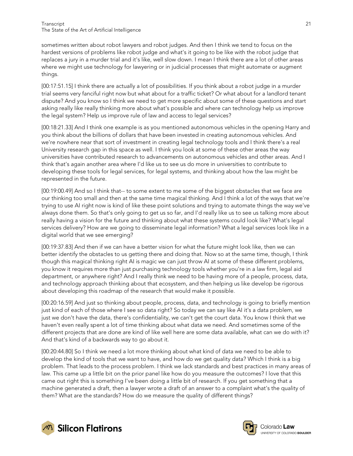sometimes written about robot lawyers and robot judges. And then I think we tend to focus on the hardest versions of problems like robot judge and what's it going to be like with the robot judge that replaces a jury in a murder trial and it's like, well slow down. I mean I think there are a lot of other areas where we might use technology for lawyering or in judicial processes that might automate or augment things.

[00:17:51.15] I think there are actually a lot of possibilities. If you think about a robot judge in a murder trial seems very fanciful right now but what about for a traffic ticket? Or what about for a landlord tenant dispute? And you know so I think we need to get more specific about some of these questions and start asking really like really thinking more about what's possible and where can technology help us improve the legal system? Help us improve rule of law and access to legal services?

[00:18:21.33] And I think one example is as you mentioned autonomous vehicles in the opening Harry and you think about the billions of dollars that have been invested in creating autonomous vehicles. And we're nowhere near that sort of investment in creating legal technology tools and I think there's a real University research gap in this space as well. I think you look at some of these other areas the way universities have contributed research to advancements on autonomous vehicles and other areas. And I think that's again another area where I'd like us to see us do more in universities to contribute to developing these tools for legal services, for legal systems, and thinking about how the law might be represented in the future.

[00:19:00.49] And so I think that-- to some extent to me some of the biggest obstacles that we face are our thinking too small and then at the same time magical thinking. And I think a lot of the ways that we're trying to use AI right now is kind of like these point solutions and trying to automate things the way we've always done them. So that's only going to get us so far, and I'd really like us to see us talking more about really having a vision for the future and thinking about what these systems could look like? What's legal services delivery? How are we going to disseminate legal information? What a legal services look like in a digital world that we see emerging?

[00:19:37.83] And then if we can have a better vision for what the future might look like, then we can better identify the obstacles to us getting there and doing that. Now so at the same time, though, I think though this magical thinking right AI is magic we can just throw AI at some of these different problems, you know it requires more than just purchasing technology tools whether you're in a law firm, legal aid department, or anywhere right? And I really think we need to be having more of a people, process, data, and technology approach thinking about that ecosystem, and then helping us like develop be rigorous about developing this roadmap of the research that would make it possible.

[00:20:16.59] And just so thinking about people, process, data, and technology is going to briefly mention just kind of each of those where I see so data right? So today we can say like AI it's a data problem, we just we don't have the data, there's confidentiality, we can't get the court data. You know I think that we haven't even really spent a lot of time thinking about what data we need. And sometimes some of the different projects that are done are kind of like well here are some data available, what can we do with it? And that's kind of a backwards way to go about it.

[00:20:44.80] So I think we need a lot more thinking about what kind of data we need to be able to develop the kind of tools that we want to have, and how do we get quality data? Which I think is a big problem. That leads to the process problem. I think we lack standards and best practices in many areas of law. This came up a little bit on the prior panel like how do you measure the outcomes? I love that this came out right this is something I've been doing a little bit of research. If you get something that a machine generated a draft, then a lawyer wrote a draft of an answer to a complaint what's the quality of them? What are the standards? How do we measure the quality of different things?



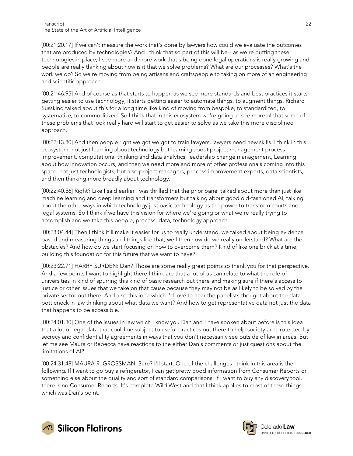[00:21:20.17] If we can't measure the work that's done by lawyers how could we evaluate the outcomes that are produced by technologies? And I think that so part of this will be-- as we're putting these technologies in place, I see more and more work that's being done legal operations is really growing and people are really thinking about how is it that we solve problems? What are our processes? What's the work we do? So we're moving from being artisans and craftspeople to taking on more of an engineering and scientific approach.

[00:21:46.95] And of course as that starts to happen as we see more standards and best practices it starts getting easier to use technology, it starts getting easier to automate things, to augment things. Richard Susskind talked about this for a long time like kind of moving from bespoke, to standardized, to systematize, to commoditized. So I think that in this ecosystem we're going to see more of that some of these problems that look really hard will start to get easier to solve as we take this more disciplined approach.

[00:22:13.80] And then people right we got we got to train lawyers, lawyers need new skills. I think in this ecosystem, not just learning about technology but learning about project management process improvement, computational thinking and data analytics, leadership change management, Learning about how innovation occurs, and then we need more and more of other professionals coming into this space, not just technologists, but also project managers, process improvement experts, data scientists, and then thinking more broadly about technology.

[00:22:40.56] Right? Like I said earlier I was thrilled that the prior panel talked about more than just like machine learning and deep learning and transformers but talking about good old-fashioned AI, talking about the other ways in which technology just basic technology as the power to transform courts and legal systems. So I think if we have this vision for where we're going or what we're really trying to accomplish and we take this people, process, data, technology approach.

[00:23:04.44] Then I think it'll make it easier for us to really understand, we talked about being evidence based and measuring things and things like that, well then how do we really understand? What are the obstacles? And how do we start focusing on how to overcome them? Kind of like one brick at a time, building this foundation for this future that we want to have?

[00:23:22.71] HARRY SURDEN: Dan? Those are some really great points so thank you for that perspective. And a few points I want to highlight there I think are that a lot of us can relate to what the role of universities in kind of spurring this kind of basic research out there and making sure if there's access to justice or other issues that we take on that cause because they may not be as likely to be solved by the private sector out there. And also this idea which I'd love to hear the panelists thought about the data bottleneck in law thinking about what data we want? And how to get representative data not just the data that happens to be accessible.

[00:24:01.30] One of the issues in law which I know you Dan and I have spoken about before is this idea that a lot of legal data that could be subject to useful practices out there to help society are protected by secrecy and confidentiality agreements in ways that you don't necessarily see outside of law in areas. But let me see Maura or Rebecca have reactions to the either Dan's comments or just questions about the limitations of AI?

[00:24:31.48] MAURA R. GROSSMAN: Sure? I'll start. One of the challenges I think in this area is the following. If I want to go buy a refrigerator, I can get pretty good information from Consumer Reports or something else about the quality and sort of standard comparisons. If I want to buy any discovery tool, there is no Consumer Reports. It's complete Wild West and that I think applies to most of these things which was Dan's point.



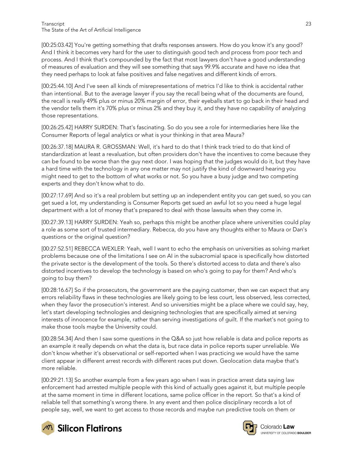[00:25:03.42] You're getting something that drafts responses answers. How do you know it's any good? And I think it becomes very hard for the user to distinguish good tech and process from poor tech and process. And I think that's compounded by the fact that most lawyers don't have a good understanding of measures of evaluation and they will see something that says 99.9% accurate and have no idea that they need perhaps to look at false positives and false negatives and different kinds of errors.

[00:25:44.10] And I've seen all kinds of misrepresentations of metrics I'd like to think is accidental rather than intentional. But to the average lawyer if you say the recall being what of the documents are found, the recall is really 49% plus or minus 20% margin of error, their eyeballs start to go back in their head and the vendor tells them it's 70% plus or minus 2% and they buy it, and they have no capability of analyzing those representations.

[00:26:25.42] HARRY SURDEN: That's fascinating. So do you see a role for intermediaries here like the Consumer Reports of legal analytics or what is your thinking in that area Maura?

[00:26:37.18] MAURA R. GROSSMAN: Well, it's hard to do that I think track tried to do that kind of standardization at least a revaluation, but often providers don't have the incentives to come because they can be found to be worse than the guy next door. I was hoping that the judges would do it, but they have a hard time with the technology in any one matter may not justify the kind of downward hearing you might need to get to the bottom of what works or not. So you have a busy judge and two competing experts and they don't know what to do.

[00:27:17.69] And so it's a real problem but setting up an independent entity you can get sued, so you can get sued a lot, my understanding is Consumer Reports get sued an awful lot so you need a huge legal department with a lot of money that's prepared to deal with those lawsuits when they come in.

[00:27:39.13] HARRY SURDEN: Yeah so, perhaps this might be another place where universities could play a role as some sort of trusted intermediary. Rebecca, do you have any thoughts either to Maura or Dan's questions or the original question?

[00:27:52.51] REBECCA WEXLER: Yeah, well I want to echo the emphasis on universities as solving market problems because one of the limitations I see on AI in the subacromial space is specifically how distorted the private sector is the development of the tools. So there's distorted access to data and there's also distorted incentives to develop the technology is based on who's going to pay for them? And who's going to buy them?

[00:28:16.67] So if the prosecutors, the government are the paying customer, then we can expect that any errors reliability flaws in these technologies are likely going to be less court, less observed, less corrected, when they favor the prosecution's interest. And so universities might be a place where we could say, hey, let's start developing technologies and designing technologies that are specifically aimed at serving interests of innocence for example, rather than serving investigations of guilt. If the market's not going to make those tools maybe the University could.

[00:28:54.34] And then I saw some questions in the Q&A so just how reliable is data and police reports as an example it really depends on what the data is, but race data in police reports super unreliable. We don't know whether it's observational or self-reported when I was practicing we would have the same client appear in different arrest records with different races put down. Geolocation data maybe that's more reliable.

[00:29:21.13] So another example from a few years ago when I was in practice arrest data saying law enforcement had arrested multiple people with this kind of actually goes against it, but multiple people at the same moment in time in different locations, same police officer in the report. So that's a kind of reliable tell that something's wrong there. In any event and then police disciplinary records a lot of people say, well, we want to get access to those records and maybe run predictive tools on them or



**M** Silicon Flatirons



Colorado Law **UNIVERSITY OF COLOBADO BOULDER**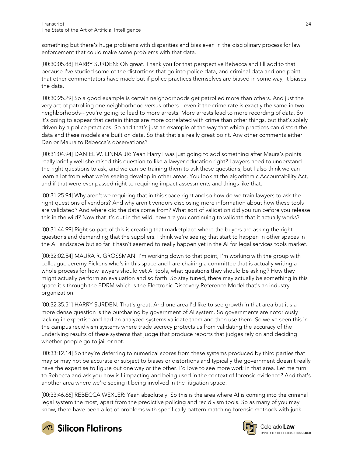something but there's huge problems with disparities and bias even in the disciplinary process for law enforcement that could make some problems with that data.

[00:30:05.88] HARRY SURDEN: Oh great. Thank you for that perspective Rebecca and I'll add to that because I've studied some of the distortions that go into police data, and criminal data and one point that other commentators have made but if police practices themselves are biased in some way, it biases the data.

[00:30:25.29] So a good example is certain neighborhoods get patrolled more than others. And just the very act of patrolling one neighborhood versus others-- even if the crime rate is exactly the same in two neighborhoods-- you're going to lead to more arrests. More arrests lead to more recording of data. So it's going to appear that certain things are more correlated with crime than other things, but that's solely driven by a police practices. So and that's just an example of the way that which practices can distort the data and these models are built on data. So that that's a really great point. Any other comments either Dan or Maura to Rebecca's observations?

[00:31:04.94] DANIEL W. LINNA JR: Yeah Harry I was just going to add something after Maura's points really briefly well she raised this question to like a lawyer education right? Lawyers need to understand the right questions to ask, and we can be training them to ask these questions, but I also think we can learn a lot from what we're seeing develop in other areas. You look at the algorithmic Accountability Act, and if that were ever passed right to requiring impact assessments and things like that.

[00:31:25.94] Why aren't we requiring that in this space right and so how do we train lawyers to ask the right questions of vendors? And why aren't vendors disclosing more information about how these tools are validated? And where did the data come from? What sort of validation did you run before you release this in the wild? Now that it's out in the wild, how are you continuing to validate that it actually works?

[00:31:44.99] Right so part of this is creating that marketplace where the buyers are asking the right questions and demanding that the suppliers. I think we're seeing that start to happen in other spaces in the AI landscape but so far it hasn't seemed to really happen yet in the AI for legal services tools market.

[00:32:02.54] MAURA R. GROSSMAN: I'm working down to that point, I'm working with the group with colleague Jeremy Pickens who's in this space and I are chairing a committee that is actually writing a whole process for how lawyers should vet AI tools, what questions they should be asking? How they might actually perform an evaluation and so forth. So stay tuned, there may actually be something in this space it's through the EDRM which is the Electronic Discovery Reference Model that's an industry organization.

[00:32:35.51] HARRY SURDEN: That's great. And one area I'd like to see growth in that area but it's a more dense question is the purchasing by government of AI system. So governments are notoriously lacking in expertise and had an analyzed systems validate them and then use them. So we've seen this in the campus recidivism systems where trade secrecy protects us from validating the accuracy of the underlying results of these systems that judge that produce reports that judges rely on and deciding whether people go to jail or not.

[00:33:12.14] So they're deferring to numerical scores from these systems produced by third parties that may or may not be accurate or subject to biases or distortions and typically the government doesn't really have the expertise to figure out one way or the other. I'd love to see more work in that area. Let me turn to Rebecca and ask you how is I impacting and being used in the context of forensic evidence? And that's another area where we're seeing it being involved in the litigation space.

[00:33:46.66] REBECCA WEXLER: Yeah absolutely. So this is the area where AI is coming into the criminal legal system the most, apart from the predictive policing and recidivism tools. So as many of you may know, there have been a lot of problems with specifically pattern matching forensic methods with junk



**M** Silicon Flatirons

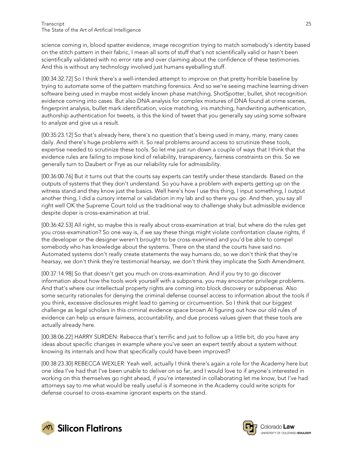science coming in, blood spatter evidence, image recognition trying to match somebody's identity based on the stitch pattern in their fabric, I mean all sorts of stuff that's not scientifically valid or hasn't been scientifically validated with no error rate and over claiming about the confidence of these testimonies. And this is without any technology involved just humans eyeballing stuff.

[00:34:32.72] So I think there's a well-intended attempt to improve on that pretty horrible baseline by trying to automate some of the pattern matching forensics. And so we're seeing machine learning driven software being used in maybe most widely known phase matching, ShotSpotter, bullet, shot recognition evidence coming into cases. But also DNA analysis for complex mixtures of DNA found at crime scenes, fingerprint analysis, bullet mark identification, voice matching, iris matching, handwriting authentication, authorship authentication for tweets, is this the kind of tweet that you generally say using some software to analyze and give us a result.

[00:35:23.12] So that's already here, there's no question that's being used in many, many, many cases daily. And there's huge problems with it. So real problems around access to scrutinize these tools, expertise needed to scrutinize these tools. So let me just run down a couple of ways that I think that the evidence rules are failing to impose kind of reliability, transparency, fairness constraints on this. So we generally turn to Daubert or Frye as our reliability rule for admissibility.

[00:36:00.76] But it turns out that the courts say experts can testify under these standards. Based on the outputs of systems that they don't understand. So you have a problem with experts getting up on the witness stand and they know just the basics. Well here's how I use this thing, I input something, I output another thing, I did a cursory internal or validation in my lab and so there you go. And then, you say all right well OK the Supreme Court told us the traditional way to challenge shaky but admissible evidence despite doper is cross-examination at trial.

[00:36:42.53] All right, so maybe this is really about cross-examination at trial, but where do the rules get you cross-examination? So one way is, if we say these things might violate confrontation clause rights, if the developer or the designer weren't brought to be cross-examined and you'd be able to compel somebody who has knowledge about the systems. There on the stand the courts have said no. Automated systems don't really create statements the way humans do, so we don't think that they're hearsay, we don't think they're testimonial hearsay, we don't think they implicate the Sixth Amendment.

[00:37:14.98] So that doesn't get you much on cross-examination. And if you try to go discover information about how the tools work yourself with a subpoena, you may encounter privilege problems. And that's where our intellectual property rights are coming into block discovery or subpoenas. Also some security rationales for denying the criminal defense counsel access to information about the tools if you think, excessive disclosures might lead to gaming or circumvention. So I think that our biggest challenge as legal scholars in this criminal evidence space brown AI figuring out how our old rules of evidence can help us ensure fairness, accountability, and due process values given that these tools are actually already here.

[00:38:06.22] HARRY SURDEN: Rebecca that's terrific and just to follow up a little bit, do you have any ideas about specific changes in example where you've seen an expert testify about a system without knowing its internals and how that specifically could have been improved?

[00:38:23.30] REBECCA WEXLER: Yeah well, actually I think there's again a role for the Academy here but one idea I've had that I've been unable to deliver on so far, and I would love to if anyone's interested in working on this themselves go right ahead, if you're interested in collaborating let me know, but I've had attorneys say to me what would be really useful is if someone in the Academy could write scripts for defense counsel to cross-examine ignorant experts on the stand.



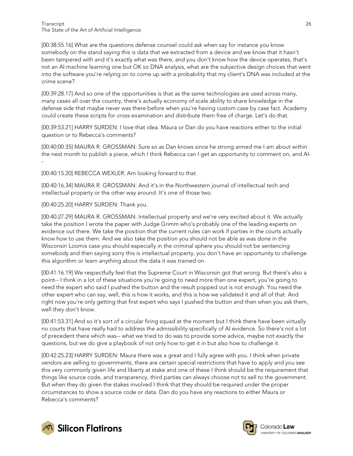[00:38:55.16] What are the questions defense counsel could ask when say for instance you know somebody on the stand saying this is data that we extracted from a device and we know that it hasn't been tampered with and it's exactly what was there, and you don't know how the device operates, that's not an AI machine learning one but OK so DNA analysis, what are the subjective design choices that went into the software you're relying on to come up with a probability that my client's DNA was included at the crime scene?

[00:39:28.17] And so one of the opportunities is that as the same technologies are used across many, many cases all over the country, there's actually economy of scale ability to share knowledge in the defense side that maybe never was there before when you're having custom case by case fact. Academy could create these scripts for cross-examination and distribute them free of charge. Let's do that.

[00:39:53.21] HARRY SURDEN: I love that idea. Maura or Dan do you have reactions either to the initial question or to Rebecca's comments?

[00:40:00.35] MAURA R. GROSSMAN: Sure so as Dan knows since he strong armed me I am about within the next month to publish a piece, which I think Rebecca can I get an opportunity to comment on, and AI- -

[00:40:15.20] REBECCA WEXLER: Am looking forward to that.

[00:40:16.34] MAURA R. GROSSMAN: And it's in the Northwestern journal of intellectual tech and intellectual property or the other way around. It's one of those two.

[00:40:25.20] HARRY SURDEN: Thank you.

[00:40:27.29] MAURA R. GROSSMAN: Intellectual property and we're very excited about it. We actually take the position I wrote the paper with Judge Grimm who's probably one of the leading experts on evidence out there. We take the position that the current rules can work if parties in the courts actually know how to use them. And we also take the position you should not be able as was done in the Wisconsin Loomis case you should especially in the criminal sphere you should not be sentencing somebody and then saying sorry this is intellectual property, you don't have an opportunity to challenge this algorithm or learn anything about the data it was trained on.

[00:41:16.19] We respectfully feel that the Supreme Court in Wisconsin got that wrong. But there's also a point-- I think in a lot of these situations you're going to need more than one expert, you're going to need the expert who said I pushed the button and the result popped out is not enough. You need the other expert who can say, well, this is how it works, and this is how we validated it and all of that. And right now you're only getting that first expert who says I pushed the button and then when you ask them, well they don't know.

[00:41:53.31] And so it's sort of a circular firing squad at the moment but I think there have been virtually no courts that have really had to address the admissibility specifically of AI evidence. So there's not a lot of precedent there which was-- what we tried to do was to provide some advice, maybe not exactly the questions, but we do give a playbook of not only how to get it in but also how to challenge it.

[00:42:25.23] HARRY SURDEN: Maura there was a great and I fully agree with you. I think when private vendors are selling to governments, there are certain special restrictions that have to apply and you see this very commonly given life and liberty at stake and one of these I think should be the requirement that things like source code, and transparency, third parties can always choose not to sell to the government. But when they do given the stakes involved I think that they should be required under the proper circumstances to show a source code or data. Dan do you have any reactions to either Maura or Rebecca's comments?



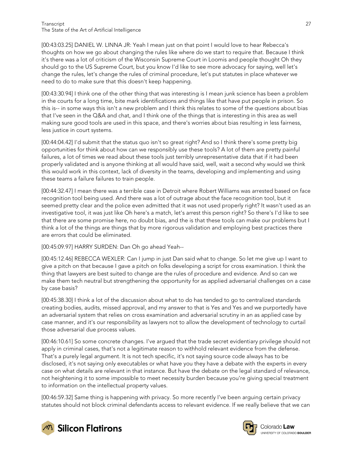[00:43:03.25] DANIEL W. LINNA JR: Yeah I mean just on that point I would love to hear Rebecca's thoughts on how we go about changing the rules like where do we start to require that. Because I think it's there was a lot of criticism of the Wisconsin Supreme Court in Loomis and people thought Oh they should go to the US Supreme Court, but you know I'd like to see more advocacy for saying, well let's change the rules, let's change the rules of criminal procedure, let's put statutes in place whatever we need to do to make sure that this doesn't keep happening.

[00:43:30.94] I think one of the other thing that was interesting is I mean junk science has been a problem in the courts for a long time, bite mark identifications and things like that have put people in prison. So this is-- in some ways this isn't a new problem and I think this relates to some of the questions about bias that I've seen in the Q&A and chat, and I think one of the things that is interesting in this area as well making sure good tools are used in this space, and there's worries about bias resulting in less fairness, less justice in court systems.

[00:44:04.42] I'd submit that the status quo isn't so great right? And so I think there's some pretty big opportunities for think about how can we responsibly use these tools? A lot of them are pretty painful failures, a lot of times we read about these tools just terribly unrepresentative data that if it had been properly validated and is anyone thinking at all would have said, well, wait a second why would we think this would work in this context, lack of diversity in the teams, developing and implementing and using these teams a failure failures to train people.

[00:44:32.47] I mean there was a terrible case in Detroit where Robert Williams was arrested based on face recognition tool being used. And there was a lot of outrage about the face recognition tool, but it seemed pretty clear and the police even admitted that it was not used properly right? It wasn't used as an investigative tool, it was just like Oh here's a match, let's arrest this person right? So there's I'd like to see that there are some promise here, no doubt bias, and the is that these tools can make our problems but I think a lot of the things are things that by more rigorous validation and employing best practices there are errors that could be eliminated.

[00:45:09.97] HARRY SURDEN: Dan Oh go ahead Yeah--

[00:45:12.46] REBECCA WEXLER: Can I jump in just Dan said what to change. So let me give up I want to give a pitch on that because I gave a pitch on folks developing a script for cross examination. I think the thing that lawyers are best suited to change are the rules of procedure and evidence. And so can we make them tech neutral but strengthening the opportunity for as applied adversarial challenges on a case by case basis?

[00:45:38.30] I think a lot of the discussion about what to do has tended to go to centralized standards creating bodies, audits, missed approval, and my answer to that is Yes and Yes and we purportedly have an adversarial system that relies on cross examination and adversarial scrutiny in an as applied case by case manner, and it's our responsibility as lawyers not to allow the development of technology to curtail those adversarial due process values.

[00:46:10.61] So some concrete changes. I've argued that the trade secret evidentiary privilege should not apply in criminal cases, that's not a legitimate reason to withhold relevant evidence from the defense. That's a purely legal argument. It is not tech specific, it's not saying source code always has to be disclosed, it's not saying only executables or what have you they have a debate with the experts in every case on what details are relevant in that instance. But have the debate on the legal standard of relevance, not heightening it to some impossible to meet necessity burden because you're giving special treatment to information on the intellectual property values.

[00:46:59.32] Same thing is happening with privacy. So more recently I've been arguing certain privacy statutes should not block criminal defendants access to relevant evidence. If we really believe that we can



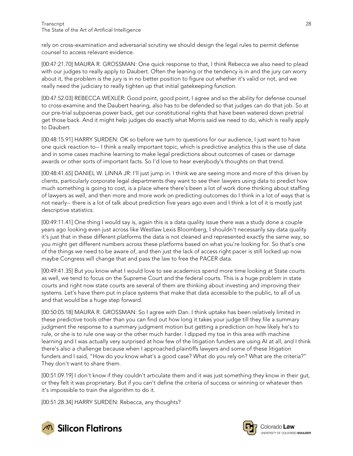rely on cross-examination and adversarial scrutiny we should design the legal rules to permit defense counsel to access relevant evidence.

[00:47:21.70] MAURA R. GROSSMAN: One quick response to that, I think Rebecca we also need to plead with our judges to really apply to Daubert. Often the leaning or the tendency is in and the jury can worry about it, the problem is the jury is in no better position to figure out whether it's valid or not, and we really need the judiciary to really tighten up that initial gatekeeping function.

[00:47:52.03] REBECCA WEXLER: Good point, good point, I agree and so the ability for defense counsel to cross-examine and the Daubert hearing, also has to be defended so that judges can do that job. So at our pre-trial subpoenas power back, get our constitutional rights that have been watered down pretrial get those back. And it might help judges do exactly what Morris said we need to do, which is really apply to Daubert.

[00:48:15.91] HARRY SURDEN: OK so before we turn to questions for our audience, I just want to have one quick reaction to-- I think a really important topic, which is predictive analytics this is the use of data and in some cases machine learning to make legal predictions about outcomes of cases or damage awards or other sorts of important facts. So I'd love to hear everybody's thoughts on that trend.

[00:48:41.65] DANIEL W. LINNA JR: I'll just jump in. I think we are seeing more and more of this driven by clients, particularly corporate legal departments they want to see their lawyers using data to predict how much something is going to cost, is a place where there's been a lot of work done thinking about staffing of lawyers as well, and then more and more work on predicting outcomes do I think in a lot of ways that is not nearly-- there is a lot of talk about prediction five years ago even and I think a lot of it is mostly just descriptive statistics.

[00:49:11.41] One thing I would say is, again this is a data quality issue there was a study done a couple years ago looking even just across like Westlaw Lexis Bloomberg, I shouldn't necessarily say data quality it's just that in these different platforms the data is not cleaned and represented exactly the same way, so you might get different numbers across these platforms based on what you're looking for. So that's one of the things we need to be aware of, and then just the lack of access right pacer is still locked up now maybe Congress will change that and pass the law to free the PACER data.

[00:49:41.35] But you know what I would love to see academics spend more time looking at State courts as well, we tend to focus on the Supreme Court and the federal courts. This is a huge problem in state courts and right now state courts are several of them are thinking about investing and improving their systems. Let's have them put in place systems that make that data accessible to the public, to all of us and that would be a huge step forward.

[00:50:05.18] MAURA R. GROSSMAN: So I agree with Dan. I think uptake has been relatively limited in these predictive tools other than you can find out how long it takes your judge till they file a summary judgment the response to a summary judgment motion but getting a prediction on how likely he's to rule, or she is to rule one way or the other much harder. I dipped my toe in this area with machine learning and I was actually very surprised at how few of the litigation funders are using AI at all, and I think there's also a challenge because when I approached plaintiffs lawyers and some of these litigation funders and I said, "How do you know what's a good case? What do you rely on? What are the criteria?" They don't want to share them.

[00:51:09.19] I don't know if they couldn't articulate them and it was just something they know in their gut, or they felt it was proprietary. But if you can't define the criteria of success or winning or whatever then it's impossible to train the algorithm to do it.

[00:51:28.34] HARRY SURDEN: Rebecca, any thoughts?



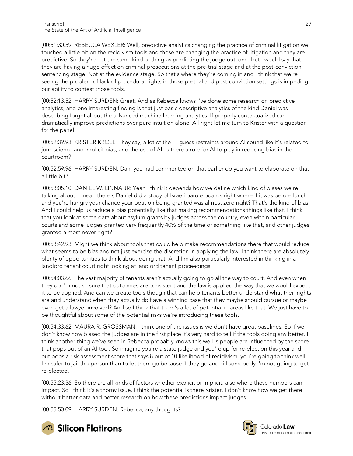[00:51:30.59] REBECCA WEXLER: Well, predictive analytics changing the practice of criminal litigation we touched a little bit on the recidivism tools and those are changing the practice of litigation and they are predictive. So they're not the same kind of thing as predicting the judge outcome but I would say that they are having a huge effect on criminal prosecutions at the pre-trial stage and at the post-conviction sentencing stage. Not at the evidence stage. So that's where they're coming in and I think that we're seeing the problem of lack of procedural rights in those pretrial and post-conviction settings is impeding our ability to contest those tools.

[00:52:13.52] HARRY SURDEN: Great. And as Rebecca knows I've done some research on predictive analytics, and one interesting finding is that just basic descriptive analytics of the kind Daniel was describing forget about the advanced machine learning analytics. If properly contextualized can dramatically improve predictions over pure intuition alone. All right let me turn to Krister with a question for the panel.

[00:52:39.93] KRISTER KROLL: They say, a lot of the-- I guess restraints around AI sound like it's related to junk science and implicit bias, and the use of AI, is there a role for AI to play in reducing bias in the courtroom?

[00:52:59.96] HARRY SURDEN: Dan, you had commented on that earlier do you want to elaborate on that a little bit?

[00:53:05.10] DANIEL W. LINNA JR: Yeah I think it depends how we define which kind of biases we're talking about. I mean there's Daniel did a study of Israeli parole boards right where if it was before lunch and you're hungry your chance your petition being granted was almost zero right? That's the kind of bias. And I could help us reduce a bias potentially like that making recommendations things like that. I think that you look at some data about asylum grants by judges across the country, even within particular courts and some judges granted very frequently 40% of the time or something like that, and other judges granted almost never right?

[00:53:42.93] Might we think about tools that could help make recommendations there that would reduce what seems to be bias and not just exercise the discretion in applying the law. I think there are absolutely plenty of opportunities to think about doing that. And I'm also particularly interested in thinking in a landlord tenant court right looking at landlord tenant proceedings.

[00:54:03.66] The vast majority of tenants aren't actually going to go all the way to court. And even when they do I'm not so sure that outcomes are consistent and the law is applied the way that we would expect it to be applied. And can we create tools though that can help tenants better understand what their rights are and understand when they actually do have a winning case that they maybe should pursue or maybe even get a lawyer involved? And so I think that there's a lot of potential in areas like that. We just have to be thoughtful about some of the potential risks we're introducing these tools.

[00:54:33.62] MAURA R. GROSSMAN: I think one of the issues is we don't have great baselines. So if we don't know how biased the judges are in the first place it's very hard to tell if the tools doing any better. I think another thing we've seen in Rebecca probably knows this well is people are influenced by the score that pops out of an AI tool. So imagine you're a state judge and you're up for re-election this year and out pops a risk assessment score that says 8 out of 10 likelihood of recidivism, you're going to think well I'm safer to jail this person than to let them go because if they go and kill somebody I'm not going to get re-elected.

[00:55:23.36] So there are all kinds of factors whether explicit or implicit, also where these numbers can impact. So I think it's a thorny issue, I think the potential is there Krister. I don't know how we get there without better data and better research on how these predictions impact judges.

[00:55:50.09] HARRY SURDEN: Rebecca, any thoughts?



**M** Silicon Flatirons

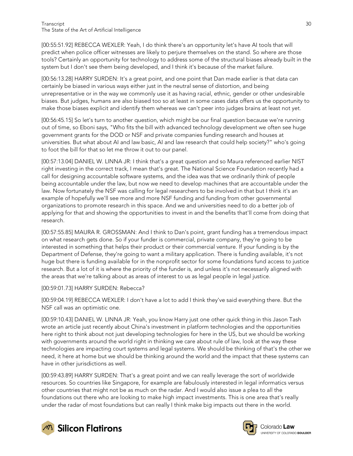[00:55:51.92] REBECCA WEXLER: Yeah, I do think there's an opportunity let's have AI tools that will predict when police officer witnesses are likely to perjure themselves on the stand. So where are those tools? Certainly an opportunity for technology to address some of the structural biases already built in the system but I don't see them being developed, and I think it's because of the market failure.

[00:56:13.28] HARRY SURDEN: It's a great point, and one point that Dan made earlier is that data can certainly be biased in various ways either just in the neutral sense of distortion, and being unrepresentative or in the way we commonly use it as having racial, ethnic, gender or other undesirable biases. But judges, humans are also biased too so at least in some cases data offers us the opportunity to make those biases explicit and identify them whereas we can't peer into judges brains at least not yet.

[00:56:45.15] So let's turn to another question, which might be our final question because we're running out of time, so Eboni says, "Who fits the bill with advanced technology development we often see huge government grants for the DOD or NSF and private companies funding research and houses at universities. But what about AI and law basic, AI and law research that could help society?" who's going to foot the bill for that so let me throw it out to our panel.

[00:57:13.04] DANIEL W. LINNA JR: I think that's a great question and so Maura referenced earlier NIST right investing in the correct track, I mean that's great. The National Science Foundation recently had a call for designing accountable software systems, and the idea was that we ordinarily think of people being accountable under the law, but now we need to develop machines that are accountable under the law. Now fortunately the NSF was calling for legal researchers to be involved in that but I think it's an example of hopefully we'll see more and more NSF funding and funding from other governmental organizations to promote research in this space. And we and universities need to do a better job of applying for that and showing the opportunities to invest in and the benefits that'll come from doing that research.

[00:57:55.85] MAURA R. GROSSMAN: And I think to Dan's point, grant funding has a tremendous impact on what research gets done. So if your funder is commercial, private company, they're going to be interested in something that helps their product or their commercial venture. If your funding is by the Department of Defense, they're going to want a military application. There is funding available, it's not huge but there is funding available for in the nonprofit sector for some foundations fund access to justice research. But a lot of it is where the priority of the funder is, and unless it's not necessarily aligned with the areas that we're talking about as areas of interest to us as legal people in legal justice.

#### [00:59:01.73] HARRY SURDEN: Rebecca?

[00:59:04.19] REBECCA WEXLER: I don't have a lot to add I think they've said everything there. But the NSF call was an optimistic one.

[00:59:10.43] DANIEL W. LINNA JR: Yeah, you know Harry just one other quick thing in this Jason Tash wrote an article just recently about China's investment in platform technologies and the opportunities here right to think about not just developing technologies for here in the US, but we should be working with governments around the world right in thinking we care about rule of law, look at the way these technologies are impacting court systems and legal systems. We should be thinking of that's the other we need, it here at home but we should be thinking around the world and the impact that these systems can have in other jurisdictions as well.

[00:59:43.89] HARRY SURDEN: That's a great point and we can really leverage the sort of worldwide resources. So countries like Singapore, for example are fabulously interested in legal informatics versus other countries that might not be as much on the radar. And I would also issue a plea to all the foundations out there who are looking to make high impact investments. This is one area that's really under the radar of most foundations but can really I think make big impacts out there in the world.





**UNIVERSITY OF COLOBADO BOULDER**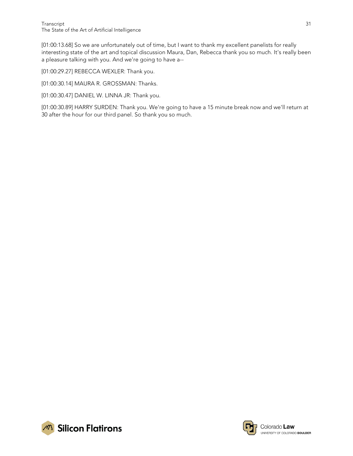[01:00:13.68] So we are unfortunately out of time, but I want to thank my excellent panelists for really interesting state of the art and topical discussion Maura, Dan, Rebecca thank you so much. It's really been a pleasure talking with you. And we're going to have a--

[01:00:29.27] REBECCA WEXLER: Thank you.

[01:00:30.14] MAURA R. GROSSMAN: Thanks.

[01:00:30.47] DANIEL W. LINNA JR: Thank you.

[01:00:30.89] HARRY SURDEN: Thank you. We're going to have a 15 minute break now and we'll return at 30 after the hour for our third panel. So thank you so much.



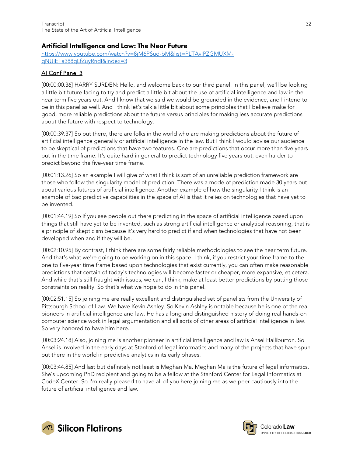## <span id="page-31-0"></span>Artificial Intelligence and Law: The Near Future

[https://www.youtube.com/watch?v=8jM6PSud-bM&list=PLTAvIPZGMUXM](https://www.youtube.com/watch?v=8jM6PSud-bM&list=PLTAvIPZGMUXM-qNUiETa388qLfZuyRndI&index=3)[qNUiETa388qLfZuyRndI&index=3](https://www.youtube.com/watch?v=8jM6PSud-bM&list=PLTAvIPZGMUXM-qNUiETa388qLfZuyRndI&index=3)

#### AI Conf Panel 3

[00:00:00.36] HARRY SURDEN: Hello, and welcome back to our third panel. In this panel, we'll be looking a little bit future facing to try and predict a little bit about the use of artificial intelligence and law in the near term five years out. And I know that we said we would be grounded in the evidence, and I intend to be in this panel as well. And I think let's talk a little bit about some principles that I believe make for good, more reliable predictions about the future versus principles for making less accurate predictions about the future with respect to technology.

[00:00:39.37] So out there, there are folks in the world who are making predictions about the future of artificial intelligence generally or artificial intelligence in the law. But I think I would advise our audience to be skeptical of predictions that have two features. One are predictions that occur more than five years out in the time frame. It's quite hard in general to predict technology five years out, even harder to predict beyond the five-year time frame.

[00:01:13.26] So an example I will give of what I think is sort of an unreliable prediction framework are those who follow the singularity model of prediction. There was a mode of prediction made 30 years out about various futures of artificial intelligence. Another example of how the singularity I think is an example of bad predictive capabilities in the space of AI is that it relies on technologies that have yet to be invented.

[00:01:44.19] So if you see people out there predicting in the space of artificial intelligence based upon things that still have yet to be invented, such as strong artificial intelligence or analytical reasoning, that is a principle of skepticism because it's very hard to predict if and when technologies that have not been developed when and if they will be.

[00:02:10.95] By contrast, I think there are some fairly reliable methodologies to see the near term future. And that's what we're going to be working on in this space. I think, if you restrict your time frame to the one to five-year time frame based upon technologies that exist currently, you can often make reasonable predictions that certain of today's technologies will become faster or cheaper, more expansive, et cetera. And while that's still fraught with issues, we can, I think, make at least better predictions by putting those constraints on reality. So that's what we hope to do in this panel.

[00:02:51.15] So joining me are really excellent and distinguished set of panelists from the University of Pittsburgh School of Law. We have Kevin Ashley. So Kevin Ashley is notable because he is one of the real pioneers in artificial intelligence and law. He has a long and distinguished history of doing real hands-on computer science work in legal argumentation and all sorts of other areas of artificial intelligence in law. So very honored to have him here.

[00:03:24.18] Also, joining me is another pioneer in artificial intelligence and law is Ansel Halliburton. So Ansel is involved in the early days at Stanford of legal informatics and many of the projects that have spun out there in the world in predictive analytics in its early phases.

[00:03:44.85] And last but definitely not least is Meghan Ma. Meghan Ma is the future of legal informatics. She's upcoming PhD recipient and going to be a fellow at the Stanford Center for Legal Informatics at CodeX Center. So I'm really pleased to have all of you here joining me as we peer cautiously into the future of artificial intelligence and law.



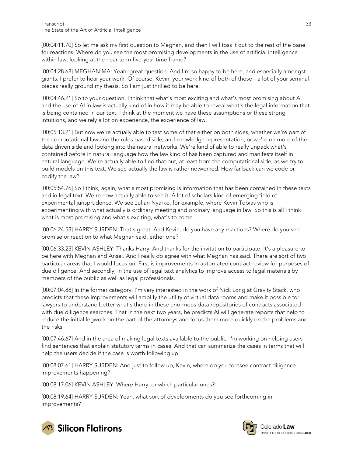[00:04:11.70] So let me ask my first question to Meghan, and then I will toss it out to the rest of the panel for reactions. Where do you see the most promising developments in the use of artificial intelligence within law, looking at the near term five-year time frame?

[00:04:28.68] MEGHAN MA: Yeah, great question. And I'm so happy to be here, and especially amongst giants. I prefer to hear your work. Of course, Kevin, your work kind of both of those-- a lot of your seminal pieces really ground my thesis. So I am just thrilled to be here.

[00:04:46.21] So to your question, I think that what's most exciting and what's most promising about AI and the use of AI in law is actually kind of in how it may be able to reveal what's the legal information that is being contained in our text. I think at the moment we have these assumptions or these strong intuitions, and we rely a lot on experience, the experience of law.

[00:05:13.21] But now we're actually able to test some of that either on both sides, whether we're part of the computational law and the rules based side, and knowledge representation, or we're on more of the data driven side and looking into the neural networks. We're kind of able to really unpack what's contained before in natural language how the law kind of has been captured and manifests itself in natural language. We're actually able to find that out, at least from the computational side, as we try to build models on this text. We see actually the law is rather networked. How far back can we code or codify the law?

[00:05:54.76] So I think, again, what's most promising is information that has been contained in these texts and in legal text. We're now actually able to see it. A lot of scholars kind of emerging field of experimental jurisprudence. We see Julian Nyarko, for example, where Kevin Tobias who is experimenting with what actually is ordinary meeting and ordinary language in law. So this is all I think what is most promising and what's exciting, what's to come.

[00:06:24.53] HARRY SURDEN: That's great. And Kevin, do you have any reactions? Where do you see promise or reaction to what Meghan said, either one?

[00:06:33.23] KEVIN ASHLEY: Thanks Harry. And thanks for the invitation to participate. It's a pleasure to be here with Meghan and Ansel. And I really do agree with what Meghan has said. There are sort of two particular areas that I would focus on. First is improvements in automated contract review for purposes of due diligence. And secondly, in the use of legal text analytics to improve access to legal materials by members of the public as well as legal professionals.

[00:07:04.88] In the former category, I'm very interested in the work of Nick Long at Gravity Stack, who predicts that these improvements will amplify the utility of virtual data rooms and make it possible for lawyers to understand better what's there in these enormous data repositories of contracts associated with due diligence searches. That in the next two years, he predicts AI will generate reports that help to reduce the initial legwork on the part of the attorneys and focus them more quickly on the problems and the risks.

[00:07:46.67] And in the area of making legal texts available to the public, I'm working on helping users find sentences that explain statutory terms in cases. And that can summarize the cases in terms that will help the users decide if the case is worth following up.

[00:08:07.61] HARRY SURDEN: And just to follow up, Kevin, where do you foresee contract diligence improvements happening?

[00:08:17.06] KEVIN ASHLEY: Where Harry, or which particular ones?

[00:08:19.64] HARRY SURDEN: Yeah, what sort of developments do you see forthcoming in improvements?



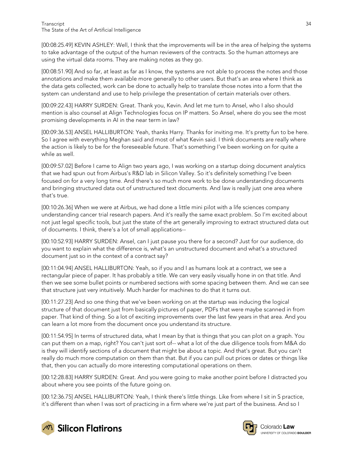[00:08:25.49] KEVIN ASHLEY: Well, I think that the improvements will be in the area of helping the systems to take advantage of the output of the human reviewers of the contracts. So the human attorneys are using the virtual data rooms. They are making notes as they go.

[00:08:51.90] And so far, at least as far as I know, the systems are not able to process the notes and those annotations and make them available more generally to other users. But that's an area where I think as the data gets collected, work can be done to actually help to translate those notes into a form that the system can understand and use to help privilege the presentation of certain materials over others.

[00:09:22.43] HARRY SURDEN: Great. Thank you, Kevin. And let me turn to Ansel, who I also should mention is also counsel at Align Technologies focus on IP matters. So Ansel, where do you see the most promising developments in AI in the near term in law?

[00:09:36.53] ANSEL HALLIBURTON: Yeah, thanks Harry. Thanks for inviting me. It's pretty fun to be here. So I agree with everything Meghan said and most of what Kevin said. I think documents are really where the action is likely to be for the foreseeable future. That's something I've been working on for quite a while as well.

[00:09:57.02] Before I came to Align two years ago, I was working on a startup doing document analytics that we had spun out from Airbus's R&D lab in Silicon Valley. So it's definitely something I've been focused on for a very long time. And there's so much more work to be done understanding documents and bringing structured data out of unstructured text documents. And law is really just one area where that's true.

[00:10:26.36] When we were at Airbus, we had done a little mini pilot with a life sciences company understanding cancer trial research papers. And it's really the same exact problem. So I'm excited about not just legal specific tools, but just the state of the art generally improving to extract structured data out of documents. I think, there's a lot of small applications--

[00:10:52.93] HARRY SURDEN: Ansel, can I just pause you there for a second? Just for our audience, do you want to explain what the difference is, what's an unstructured document and what's a structured document just so in the context of a contract say?

[00:11:04.94] ANSEL HALLIBURTON: Yeah, so if you and I as humans look at a contract, we see a rectangular piece of paper. It has probably a title. We can very easily visually hone in on that title. And then we see some bullet points or numbered sections with some spacing between them. And we can see that structure just very intuitively. Much harder for machines to do that it turns out.

[00:11:27.23] And so one thing that we've been working on at the startup was inducing the logical structure of that document just from basically pictures of paper, PDFs that were maybe scanned in from paper. That kind of thing. So a lot of exciting improvements over the last few years in that area. And you can learn a lot more from the document once you understand its structure.

[00:11:54.95] In terms of structured data, what I mean by that is things that you can plot on a graph. You can put them on a map, right? You can't just sort of-- what a lot of the due diligence tools from M&A do is they will identify sections of a document that might be about a topic. And that's great. But you can't really do much more computation on them than that. But if you can pull out prices or dates or things like that, then you can actually do more interesting computational operations on them.

[00:12:28.83] HARRY SURDEN: Great. And you were going to make another point before I distracted you about where you see points of the future going on.

[00:12:36.75] ANSEL HALLIBURTON: Yeah, I think there's little things. Like from where I sit in S practice, it's different than when I was sort of practicing in a firm where we're just part of the business. And so I



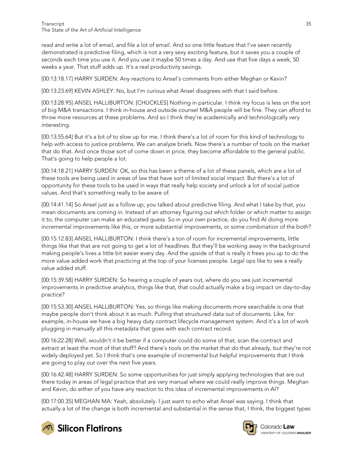read and write a lot of email, and file a lot of email. And so one little feature that I've seen recently demonstrated is predictive filing, which is not a very sexy exciting feature, but it saves you a couple of seconds each time you use it. And you use it maybe 50 times a day. And use that five days a week, 50 weeks a year. That stuff adds up. It's a real productivity savings.

[00:13:18.17] HARRY SURDEN: Any reactions to Ansel's comments from either Meghan or Kevin?

[00:13:23.69] KEVIN ASHLEY: No, but I'm curious what Ansel disagrees with that I said before.

[00:13:28.95] ANSEL HALLIBURTON: [CHUCKLES] Nothing in particular. I think my focus is less on the sort of big M&A transactions. I think in-house and outside counsel M&A people will be fine. They can afford to throw more resources at these problems. And so I think they're academically and technologically very interesting.

[00:13:55.64] But it's a bit of to slow up for me. I think there's a lot of room for this kind of technology to help with access to justice problems. We can analyze briefs. Now there's a number of tools on the market that do that. And once those sort of come down in price, they become affordable to the general public. That's going to help people a lot.

[00:14:18.21] HARRY SURDEN: OK, so this has been a theme of a lot of these panels, which are a lot of these tools are being used in areas of law that have sort of limited social impact. But there's a lot of opportunity for these tools to be used in ways that really help society and unlock a lot of social justice values. And that's something really to be aware of.

[00:14:41.14] So Ansel just as a follow up, you talked about predictive filing. And what I take by that, you mean documents are coming in. Instead of an attorney figuring out which folder or which matter to assign it to, the computer can make an educated guess. So in your own practice, do you find AI doing more incremental improvements like this, or more substantial improvements, or some combination of the both?

[00:15:12.83] ANSEL HALLIBURTON: I think there's a ton of room for incremental improvements, little things like that that are not going to get a lot of headlines. But they'll be working away in the background making people's lives a little bit easier every day. And the upside of that is really it frees you up to do the more value added work that practicing at the top of your licenses people. Legal ops like to see a really value added stuff.

[00:15:39.58] HARRY SURDEN: So hearing a couple of years out, where do you see just incremental improvements in predictive analytics, things like that, that could actually make a big impact on day-to-day practice?

[00:15:53.30] ANSEL HALLIBURTON: Yes, so things like making documents more searchable is one that maybe people don't think about it as much. Pulling that structured data out of documents. Like, for example, in-house we have a big heavy duty contract lifecycle management system. And it's a lot of work plugging in manually all this metadata that goes with each contract record.

[00:16:22.28] Well, wouldn't it be better if a computer could do some of that, scan the contract and extract at least the most of that stuff? And there's tools on the market that do that already, but they're not widely deployed yet. So I think that's one example of incremental but helpful improvements that I think are going to play out over the next five years.

[00:16:42.48] HARRY SURDEN: So some opportunities for just simply applying technologies that are out there today in areas of legal practice that are very manual where we could really improve things. Meghan and Kevin, do either of you have any reaction to this idea of incremental improvements in AI?

[00:17:00.35] MEGHAN MA: Yeah, absolutely. I just want to echo what Ansel was saying. I think that actually a lot of the change is both incremental and substantial in the sense that, I think, the biggest types





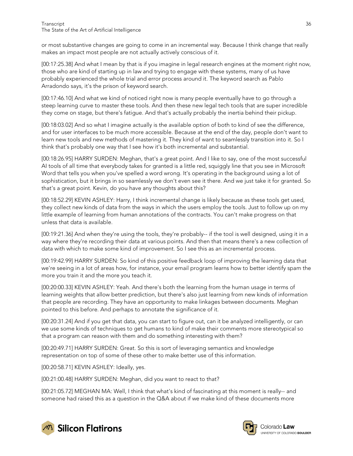or most substantive changes are going to come in an incremental way. Because I think change that really makes an impact most people are not actually actively conscious of it.

[00:17:25.38] And what I mean by that is if you imagine in legal research engines at the moment right now, those who are kind of starting up in law and trying to engage with these systems, many of us have probably experienced the whole trial and error process around it. The keyword search as Pablo Arradondo says, it's the prison of keyword search.

[00:17:46.10] And what we kind of noticed right now is many people eventually have to go through a steep learning curve to master these tools. And then these new legal tech tools that are super incredible they come on stage, but there's fatigue. And that's actually probably the inertia behind their pickup.

[00:18:03.02] And so what I imagine actually is the available option of both to kind of see the difference, and for user interfaces to be much more accessible. Because at the end of the day, people don't want to learn new tools and new methods of mastering it. They kind of want to seamlessly transition into it. So I think that's probably one way that I see how it's both incremental and substantial.

[00:18:26.95] HARRY SURDEN: Meghan, that's a great point. And I like to say, one of the most successful AI tools of all time that everybody takes for granted is a little red, squiggly line that you see in Microsoft Word that tells you when you've spelled a word wrong. It's operating in the background using a lot of sophistication, but it brings in so seamlessly we don't even see it there. And we just take it for granted. So that's a great point. Kevin, do you have any thoughts about this?

[00:18:52.29] KEVIN ASHLEY: Harry, I think incremental change is likely because as these tools get used, they collect new kinds of data from the ways in which the users employ the tools. Just to follow up on my little example of learning from human annotations of the contracts. You can't make progress on that unless that data is available.

[00:19:21.36] And when they're using the tools, they're probably-- if the tool is well designed, using it in a way where they're recording their data at various points. And then that means there's a new collection of data with which to make some kind of improvement. So I see this as an incremental process.

[00:19:42.99] HARRY SURDEN: So kind of this positive feedback loop of improving the learning data that we're seeing in a lot of areas how, for instance, your email program learns how to better identify spam the more you train it and the more you teach it.

[00:20:00.33] KEVIN ASHLEY: Yeah. And there's both the learning from the human usage in terms of learning weights that allow better prediction, but there's also just learning from new kinds of information that people are recording. They have an opportunity to make linkages between documents. Meghan pointed to this before. And perhaps to annotate the significance of it.

[00:20:31.24] And if you get that data, you can start to figure out, can it be analyzed intelligently, or can we use some kinds of techniques to get humans to kind of make their comments more stereotypical so that a program can reason with them and do something interesting with them?

[00:20:49.71] HARRY SURDEN: Great. So this is sort of leveraging semantics and knowledge representation on top of some of these other to make better use of this information.

[00:20:58.71] KEVIN ASHLEY: Ideally, yes.

[00:21:00.48] HARRY SURDEN: Meghan, did you want to react to that?

[00:21:05.72] MEGHAN MA: Well, I think that what's kind of fascinating at this moment is really-- and someone had raised this as a question in the Q&A about if we make kind of these documents more



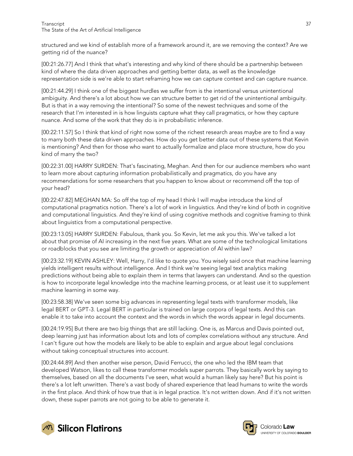structured and we kind of establish more of a framework around it, are we removing the context? Are we getting rid of the nuance?

[00:21:26.77] And I think that what's interesting and why kind of there should be a partnership between kind of where the data driven approaches and getting better data, as well as the knowledge representation side is we're able to start reframing how we can capture context and can capture nuance.

[00:21:44.29] I think one of the biggest hurdles we suffer from is the intentional versus unintentional ambiguity. And there's a lot about how we can structure better to get rid of the unintentional ambiguity. But is that in a way removing the intentional? So some of the newest techniques and some of the research that I'm interested in is how linguists capture what they call pragmatics, or how they capture nuance. And some of the work that they do is in probabilistic inference.

[00:22:11.57] So I think that kind of right now some of the richest research areas maybe are to find a way to marry both these data driven approaches. How do you get better data out of these systems that Kevin is mentioning? And then for those who want to actually formalize and place more structure, how do you kind of marry the two?

[00:22:31.00] HARRY SURDEN: That's fascinating, Meghan. And then for our audience members who want to learn more about capturing information probabilistically and pragmatics, do you have any recommendations for some researchers that you happen to know about or recommend off the top of your head?

[00:22:47.82] MEGHAN MA: So off the top of my head I think I will maybe introduce the kind of computational pragmatics notion. There's a lot of work in linguistics. And they're kind of both in cognitive and computational linguistics. And they're kind of using cognitive methods and cognitive framing to think about linguistics from a computational perspective.

[00:23:13.05] HARRY SURDEN: Fabulous, thank you. So Kevin, let me ask you this. We've talked a lot about that promise of AI increasing in the next five years. What are some of the technological limitations or roadblocks that you see are limiting the growth or appreciation of AI within law?

[00:23:32.19] KEVIN ASHLEY: Well, Harry, I'd like to quote you. You wisely said once that machine learning yields intelligent results without intelligence. And I think we're seeing legal text analytics making predictions without being able to explain them in terms that lawyers can understand. And so the question is how to incorporate legal knowledge into the machine learning process, or at least use it to supplement machine learning in some way.

[00:23:58.38] We've seen some big advances in representing legal texts with transformer models, like legal BERT or GPT-3. Legal BERT in particular is trained on large corpora of legal texts. And this can enable it to take into account the context and the words in which the words appear in legal documents.

[00:24:19.95] But there are two big things that are still lacking. One is, as Marcus and Davis pointed out, deep learning just has information about lots and lots of complex correlations without any structure. And I can't figure out how the models are likely to be able to explain and argue about legal conclusions without taking conceptual structures into account.

[00:24:44.89] And then another wise person, David Ferrucci, the one who led the IBM team that developed Watson, likes to call these transformer models super parrots. They basically work by saying to themselves, based on all the documents I've seen, what would a human likely say here? But his point is there's a lot left unwritten. There's a vast body of shared experience that lead humans to write the words in the first place. And think of how true that is in legal practice. It's not written down. And if it's not written down, these super parrots are not going to be able to generate it.





Colorado **Law** UNIVERSITY OF COLORADO BOULDER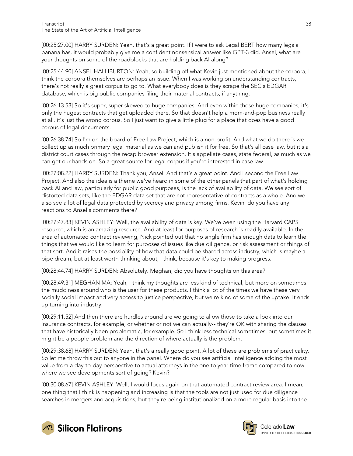[00:25:27.00] HARRY SURDEN: Yeah, that's a great point. If I were to ask Legal BERT how many legs a banana has, it would probably give me a confident nonsensical answer like GPT-3 did. Ansel, what are your thoughts on some of the roadblocks that are holding back AI along?

[00:25:44.90] ANSEL HALLIBURTON: Yeah, so building off what Kevin just mentioned about the corpora, I think the corpora themselves are perhaps an issue. When I was working on understanding contracts, there's not really a great corpus to go to. What everybody does is they scrape the SEC's EDGAR database, which is big public companies filing their material contracts, if anything.

[00:26:13.53] So it's super, super skewed to huge companies. And even within those huge companies, it's only the hugest contracts that get uploaded there. So that doesn't help a mom-and-pop business really at all. it's just the wrong corpus. So I just want to give a little plug for a place that does have a good corpus of legal documents.

[00:26:38.74] So I'm on the board of Free Law Project, which is a non-profit. And what we do there is we collect up as much primary legal material as we can and publish it for free. So that's all case law, but it's a district court cases through the recap browser extension. It's appellate cases, state federal, as much as we can get our hands on. So a great source for legal corpus if you're interested in case law.

[00:27:08.22] HARRY SURDEN: Thank you, Ansel. And that's a great point. And I second the Free Law Project. And also the idea is a theme we've heard in some of the other panels that part of what's holding back AI and law, particularly for public good purposes, is the lack of availability of data. We see sort of distorted data sets, like the EDGAR data set that are not representative of contracts as a whole. And we also see a lot of legal data protected by secrecy and privacy among firms. Kevin, do you have any reactions to Ansel's comments there?

[00:27:47.83] KEVIN ASHLEY: Well, the availability of data is key. We've been using the Harvard CAPS resource, which is an amazing resource. And at least for purposes of research is readily available. In the area of automated contract reviewing, Nick pointed out that no single firm has enough data to learn the things that we would like to learn for purposes of issues like due diligence, or risk assessment or things of that sort. And it raises the possibility of how that data could be shared across industry, which is maybe a pipe dream, but at least worth thinking about, I think, because it's key to making progress.

[00:28:44.74] HARRY SURDEN: Absolutely. Meghan, did you have thoughts on this area?

[00:28:49.31] MEGHAN MA: Yeah, I think my thoughts are less kind of technical, but more on sometimes the muddiness around who is the user for these products. I think a lot of the times we have these very socially social impact and very access to justice perspective, but we're kind of some of the uptake. It ends up turning into industry.

[00:29:11.52] And then there are hurdles around are we going to allow those to take a look into our insurance contracts, for example, or whether or not we can actually-- they're OK with sharing the clauses that have historically been problematic, for example. So I think less technical sometimes, but sometimes it might be a people problem and the direction of where actually is the problem.

[00:29:38.68] HARRY SURDEN: Yeah, that's a really good point. A lot of these are problems of practicality. So let me throw this out to anyone in the panel. Where do you see artificial intelligence adding the most value from a day-to-day perspective to actual attorneys in the one to year time frame compared to now where we see developments sort of going? Kevin?

[00:30:08.67] KEVIN ASHLEY: Well, I would focus again on that automated contract review area. I mean, one thing that I think is happening and increasing is that the tools are not just used for due diligence searches in mergers and acquisitions, but they're being institutionalized on a more regular basis into the





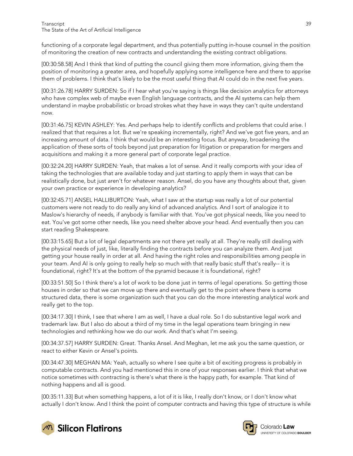functioning of a corporate legal department, and thus potentially putting in-house counsel in the position of monitoring the creation of new contracts and understanding the existing contract obligations.

[00:30:58.58] And I think that kind of putting the council giving them more information, giving them the position of monitoring a greater area, and hopefully applying some intelligence here and there to apprise them of problems. I think that's likely to be the most useful thing that AI could do in the next five years.

[00:31:26.78] HARRY SURDEN: So if I hear what you're saying is things like decision analytics for attorneys who have complex web of maybe even English language contracts, and the AI systems can help them understand in maybe probabilistic or broad strokes what they have in ways they can't quite understand now.

[00:31:46.75] KEVIN ASHLEY: Yes. And perhaps help to identify conflicts and problems that could arise. I realized that that requires a lot. But we're speaking incrementally, right? And we've got five years, and an increasing amount of data. I think that would be an interesting focus. But anyway, broadening the application of these sorts of tools beyond just preparation for litigation or preparation for mergers and acquisitions and making it a more general part of corporate legal practice.

[00:32:24.20] HARRY SURDEN: Yeah, that makes a lot of sense. And it really comports with your idea of taking the technologies that are available today and just starting to apply them in ways that can be realistically done, but just aren't for whatever reason. Ansel, do you have any thoughts about that, given your own practice or experience in developing analytics?

[00:32:45.71] ANSEL HALLIBURTON: Yeah, what I saw at the startup was really a lot of our potential customers were not ready to do really any kind of advanced analytics. And I sort of analogize it to Maslow's hierarchy of needs, if anybody is familiar with that. You've got physical needs, like you need to eat. You've got some other needs, like you need shelter above your head. And eventually then you can start reading Shakespeare.

[00:33:15.65] But a lot of legal departments are not there yet really at all. They're really still dealing with the physical needs of just, like, literally finding the contracts before you can analyze them. And just getting your house really in order at all. And having the right roles and responsibilities among people in your team. And AI is only going to really help so much with that really basic stuff that's really-- it is foundational, right? It's at the bottom of the pyramid because it is foundational, right?

[00:33:51.50] So I think there's a lot of work to be done just in terms of legal operations. So getting those houses in order so that we can move up there and eventually get to the point where there is some structured data, there is some organization such that you can do the more interesting analytical work and really get to the top.

[00:34:17.30] I think, I see that where I am as well, I have a dual role. So I do substantive legal work and trademark law. But I also do about a third of my time in the legal operations team bringing in new technologies and rethinking how we do our work. And that's what I'm seeing.

[00:34:37.57] HARRY SURDEN: Great. Thanks Ansel. And Meghan, let me ask you the same question, or react to either Kevin or Ansel's points.

[00:34:47.30] MEGHAN MA: Yeah, actually so where I see quite a bit of exciting progress is probably in computable contracts. And you had mentioned this in one of your responses earlier. I think that what we notice sometimes with contracting is there's what there is the happy path, for example. That kind of nothing happens and all is good.

[00:35:11.33] But when something happens, a lot of it is like, I really don't know, or I don't know what actually I don't know. And I think the point of computer contracts and having this type of structure is while



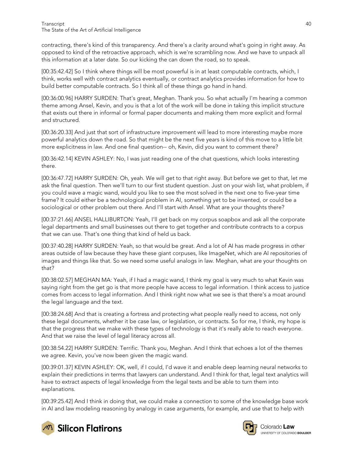contracting, there's kind of this transparency. And there's a clarity around what's going in right away. As opposed to kind of the retroactive approach, which is we're scrambling now. And we have to unpack all this information at a later date. So our kicking the can down the road, so to speak.

[00:35:42.42] So I think where things will be most powerful is in at least computable contracts, which, I think, works well with contract analytics eventually, or contract analytics provides information for how to build better computable contracts. So I think all of these things go hand in hand.

[00:36:00.96] HARRY SURDEN: That's great, Meghan. Thank you. So what actually I'm hearing a common theme among Ansel, Kevin, and you is that a lot of the work will be done in taking this implicit structure that exists out there in informal or formal paper documents and making them more explicit and formal and structured.

[00:36:20.33] And just that sort of infrastructure improvement will lead to more interesting maybe more powerful analytics down the road. So that might be the next five years is kind of this move to a little bit more explicitness in law. And one final question-- oh, Kevin, did you want to comment there?

[00:36:42.14] KEVIN ASHLEY: No, I was just reading one of the chat questions, which looks interesting there.

[00:36:47.72] HARRY SURDEN: Oh, yeah. We will get to that right away. But before we get to that, let me ask the final question. Then we'll turn to our first student question. Just on your wish list, what problem, if you could wave a magic wand, would you like to see the most solved in the next one to five-year time frame? It could either be a technological problem in AI, something yet to be invented, or could be a sociological or other problem out there. And I'll start with Ansel. What are your thoughts there?

[00:37:21.66] ANSEL HALLIBURTON: Yeah, I'll get back on my corpus soapbox and ask all the corporate legal departments and small businesses out there to get together and contribute contracts to a corpus that we can use. That's one thing that kind of held us back.

[00:37:40.28] HARRY SURDEN: Yeah, so that would be great. And a lot of AI has made progress in other areas outside of law because they have these giant corpuses, like ImageNet, which are AI repositories of images and things like that. So we need some useful analogs in law. Meghan, what are your thoughts on that?

[00:38:02.57] MEGHAN MA: Yeah, if I had a magic wand, I think my goal is very much to what Kevin was saying right from the get go is that more people have access to legal information. I think access to justice comes from access to legal information. And I think right now what we see is that there's a moat around the legal language and the text.

[00:38:24.68] And that is creating a fortress and protecting what people really need to access, not only these legal documents, whether it be case law, or legislation, or contracts. So for me, I think, my hope is that the progress that we make with these types of technology is that it's really able to reach everyone. And that we raise the level of legal literacy across all.

[00:38:54.22] HARRY SURDEN: Terrific. Thank you, Meghan. And I think that echoes a lot of the themes we agree. Kevin, you've now been given the magic wand.

[00:39:01.37] KEVIN ASHLEY: OK, well, if I could, I'd wave it and enable deep learning neural networks to explain their predictions in terms that lawyers can understand. And I think for that, legal text analytics will have to extract aspects of legal knowledge from the legal texts and be able to turn them into explanations.

[00:39:25.42] And I think in doing that, we could make a connection to some of the knowledge base work in AI and law modeling reasoning by analogy in case arguments, for example, and use that to help with





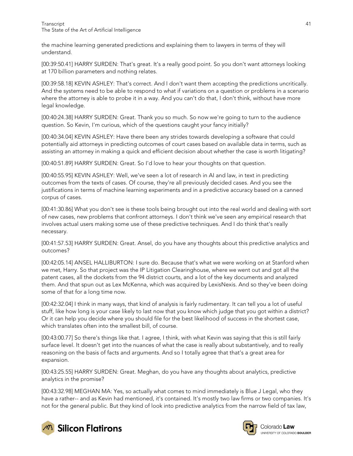the machine learning generated predictions and explaining them to lawyers in terms of they will understand.

[00:39:50.41] HARRY SURDEN: That's great. It's a really good point. So you don't want attorneys looking at 170 billion parameters and nothing relates.

[00:39:58.18] KEVIN ASHLEY: That's correct. And I don't want them accepting the predictions uncritically. And the systems need to be able to respond to what if variations on a question or problems in a scenario where the attorney is able to probe it in a way. And you can't do that, I don't think, without have more legal knowledge.

[00:40:24.38] HARRY SURDEN: Great. Thank you so much. So now we're going to turn to the audience question. So Kevin, I'm curious, which of the questions caught your fancy initially?

[00:40:34.04] KEVIN ASHLEY: Have there been any strides towards developing a software that could potentially aid attorneys in predicting outcomes of court cases based on available data in terms, such as assisting an attorney in making a quick and efficient decision about whether the case is worth litigating?

[00:40:51.89] HARRY SURDEN: Great. So I'd love to hear your thoughts on that question.

[00:40:55.95] KEVIN ASHLEY: Well, we've seen a lot of research in AI and law, in text in predicting outcomes from the texts of cases. Of course, they're all previously decided cases. And you see the justifications in terms of machine learning experiments and in a predictive accuracy based on a canned corpus of cases.

[00:41:30.86] What you don't see is these tools being brought out into the real world and dealing with sort of new cases, new problems that confront attorneys. I don't think we've seen any empirical research that involves actual users making some use of these predictive techniques. And I do think that's really necessary.

[00:41:57.53] HARRY SURDEN: Great. Ansel, do you have any thoughts about this predictive analytics and outcomes?

[00:42:05.14] ANSEL HALLIBURTON: I sure do. Because that's what we were working on at Stanford when we met, Harry. So that project was the IP Litigation Clearinghouse, where we went out and got all the patent cases, all the dockets from the 94 district courts, and a lot of the key documents and analyzed them. And that spun out as Lex McKenna, which was acquired by LexisNexis. And so they've been doing some of that for a long time now.

[00:42:32.04] I think in many ways, that kind of analysis is fairly rudimentary. It can tell you a lot of useful stuff, like how long is your case likely to last now that you know which judge that you got within a district? Or it can help you decide where you should file for the best likelihood of success in the shortest case, which translates often into the smallest bill, of course.

[00:43:00.77] So there's things like that. I agree, I think, with what Kevin was saying that this is still fairly surface level. It doesn't get into the nuances of what the case is really about substantively, and to really reasoning on the basis of facts and arguments. And so I totally agree that that's a great area for expansion.

[00:43:25.55] HARRY SURDEN: Great. Meghan, do you have any thoughts about analytics, predictive analytics in the promise?

[00:43:32.98] MEGHAN MA: Yes, so actually what comes to mind immediately is Blue J Legal, who they have a rather-- and as Kevin had mentioned, it's contained. It's mostly two law firms or two companies. It's not for the general public. But they kind of look into predictive analytics from the narrow field of tax law,





Colorado **Law** UNIVERSITY OF COLORADO BOULDER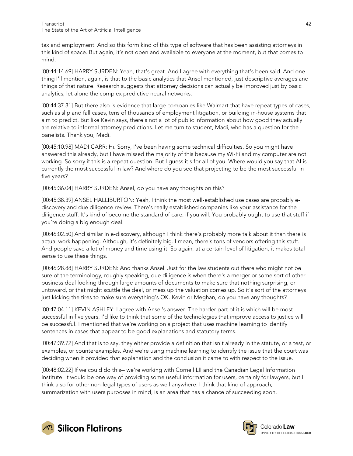tax and employment. And so this form kind of this type of software that has been assisting attorneys in this kind of space. But again, it's not open and available to everyone at the moment, but that comes to mind.

[00:44:14.69] HARRY SURDEN: Yeah, that's great. And I agree with everything that's been said. And one thing I'll mention, again, is that to the basic analytics that Ansel mentioned, just descriptive averages and things of that nature. Research suggests that attorney decisions can actually be improved just by basic analytics, let alone the complex predictive neural networks.

[00:44:37.31] But there also is evidence that large companies like Walmart that have repeat types of cases, such as slip and fall cases, tens of thousands of employment litigation, or building in-house systems that aim to predict. But like Kevin says, there's not a lot of public information about how good they actually are relative to informal attorney predictions. Let me turn to student, Madi, who has a question for the panelists. Thank you, Madi.

[00:45:10.98] MADI CARR: Hi. Sorry, I've been having some technical difficulties. So you might have answered this already, but I have missed the majority of this because my Wi-Fi and my computer are not working. So sorry if this is a repeat question. But I guess it's for all of you. Where would you say that AI is currently the most successful in law? And where do you see that projecting to be the most successful in five years?

[00:45:36.04] HARRY SURDEN: Ansel, do you have any thoughts on this?

[00:45:38.39] ANSEL HALLIBURTON: Yeah, I think the most well-established use cases are probably ediscovery and due diligence review. There's really established companies like your assistance for the diligence stuff. It's kind of become the standard of care, if you will. You probably ought to use that stuff if you're doing a big enough deal.

[00:46:02.50] And similar in e-discovery, although I think there's probably more talk about it than there is actual work happening. Although, it's definitely big. I mean, there's tons of vendors offering this stuff. And people save a lot of money and time using it. So again, at a certain level of litigation, it makes total sense to use these things.

[00:46:28.88] HARRY SURDEN: And thanks Ansel. Just for the law students out there who might not be sure of the terminology, roughly speaking, due diligence is when there's a merger or some sort of other business deal looking through large amounts of documents to make sure that nothing surprising, or untoward, or that might scuttle the deal, or mess up the valuation comes up. So it's sort of the attorneys just kicking the tires to make sure everything's OK. Kevin or Meghan, do you have any thoughts?

[00:47:04.11] KEVIN ASHLEY: I agree with Ansel's answer. The harder part of it is which will be most successful in five years. I'd like to think that some of the technologies that improve access to justice will be successful. I mentioned that we're working on a project that uses machine learning to identify sentences in cases that appear to be good explanations and statutory terms.

[00:47:39.72] And that is to say, they either provide a definition that isn't already in the statute, or a test, or examples, or counterexamples. And we're using machine learning to identify the issue that the court was deciding when it provided that explanation and the conclusion it came to with respect to the issue.

[00:48:02.22] If we could do this-- we're working with Cornell LII and the Canadian Legal Information Institute. It would be one way of providing some useful information for users, certainly for lawyers, but I think also for other non-legal types of users as well anywhere. I think that kind of approach, summarization with users purposes in mind, is an area that has a chance of succeeding soon.



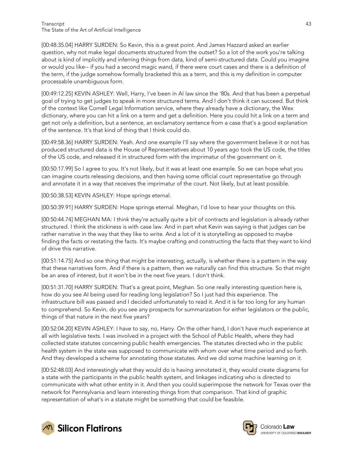#### Transcript 43 The State of the Art of Artificial Intelligence

[00:48:35.04] HARRY SURDEN: So Kevin, this is a great point. And James Hazzard asked an earlier question, why not make legal documents structured from the outset? So a lot of the work you're talking about is kind of implicitly and inferring things from data, kind of semi-structured data. Could you imagine or would you like-- if you had a second magic wand, if there were court cases and there is a definition of the term, if the judge somehow formally bracketed this as a term, and this is my definition in computer processable unambiguous form.

[00:49:12.25] KEVIN ASHLEY: Well, Harry, I've been in AI law since the '80s. And that has been a perpetual goal of trying to get judges to speak in more structured terms. And I don't think it can succeed. But think of the context like Cornell Legal Information service, where they already have a dictionary, the Wex dictionary, where you can hit a link on a term and get a definition. Here you could hit a link on a term and get not only a definition, but a sentence, an exclamatory sentence from a case that's a good explanation of the sentence. It's that kind of thing that I think could do.

[00:49:58.36] HARRY SURDEN: Yeah. And one example I'll say where the government believe it or not has produced structured data is the House of Representatives about 10 years ago took the US code, the titles of the US code, and released it in structured form with the imprimatur of the government on it.

[00:50:17.99] So I agree to you. It's not likely, but it was at least one example. So we can hope what you can imagine courts releasing decisions, and then having some official court representative go through and annotate it in a way that receives the imprimatur of the court. Not likely, but at least possible.

[00:50:38.53] KEVIN ASHLEY: Hope springs eternal.

[00:50:39.91] HARRY SURDEN: Hope springs eternal. Meghan, I'd love to hear your thoughts on this.

[00:50:44.74] MEGHAN MA: I think they're actually quite a bit of contracts and legislation is already rather structured. I think the stickiness is with case law. And in part what Kevin was saying is that judges can be rather narrative in the way that they like to write. And a lot of it is storytelling as opposed to maybe finding the facts or restating the facts. It's maybe crafting and constructing the facts that they want to kind of drive this narrative.

[00:51:14.75] And so one thing that might be interesting, actually, is whether there is a pattern in the way that these narratives form. And if there is a pattern, then we naturally can find this structure. So that might be an area of interest, but it won't be in the next five years. I don't think.

[00:51:31.70] HARRY SURDEN: That's a great point, Meghan. So one really interesting question here is, how do you see AI being used for reading long legislation? So I just had this experience. The infrastructure bill was passed and I decided unfortunately to read it. And it is far too long for any human to comprehend. So Kevin, do you see any prospects for summarization for either legislators or the public, things of that nature in the next five years?

[00:52:04.20] KEVIN ASHLEY: I have to say, no, Harry. On the other hand, I don't have much experience at all with legislative texts. I was involved in a project with the School of Public Health, where they had collected state statutes concerning public health emergencies. The statutes directed who in the public health system in the state was supposed to communicate with whom over what time period and so forth. And they developed a scheme for annotating those statutes. And we did some machine learning on it.

[00:52:48.03] And interestingly what they would do is having annotated it, they would create diagrams for a state with the participants in the public health system, and linkages indicating who is directed to communicate with what other entity in it. And then you could superimpose the network for Texas over the network for Pennsylvania and learn interesting things from that comparison. That kind of graphic representation of what's in a statute might be something that could be feasible.



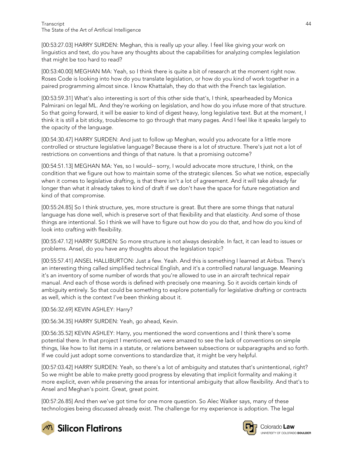[00:53:27.03] HARRY SURDEN: Meghan, this is really up your alley. I feel like giving your work on linguistics and text, do you have any thoughts about the capabilities for analyzing complex legislation that might be too hard to read?

[00:53:40.00] MEGHAN MA: Yeah, so I think there is quite a bit of research at the moment right now. Roses Code is looking into how do you translate legislation, or how do you kind of work together in a paired programming almost since. I know Khattalah, they do that with the French tax legislation.

[00:53:59.31] What's also interesting is sort of this other side that's, I think, spearheaded by Monica Palmirani on legal ML. And they're working on legislation, and how do you infuse more of that structure. So that going forward, it will be easier to kind of digest heavy, long legislative text. But at the moment, I think it is still a bit sticky, troublesome to go through that many pages. And I feel like it speaks largely to the opacity of the language.

[00:54:30.47] HARRY SURDEN: And just to follow up Meghan, would you advocate for a little more controlled or structure legislative language? Because there is a lot of structure. There's just not a lot of restrictions on conventions and things of that nature. Is that a promising outcome?

[00:54:51.13] MEGHAN MA: Yes, so I would-- sorry, I would advocate more structure, I think, on the condition that we figure out how to maintain some of the strategic silences. So what we notice, especially when it comes to legislative drafting, is that there isn't a lot of agreement. And it will take already far longer than what it already takes to kind of draft if we don't have the space for future negotiation and kind of that compromise.

[00:55:24.85] So I think structure, yes, more structure is great. But there are some things that natural language has done well, which is preserve sort of that flexibility and that elasticity. And some of those things are intentional. So I think we will have to figure out how do you do that, and how do you kind of look into crafting with flexibility.

[00:55:47.12] HARRY SURDEN: So more structure is not always desirable. In fact, it can lead to issues or problems. Ansel, do you have any thoughts about the legislation topic?

[00:55:57.41] ANSEL HALLIBURTON: Just a few. Yeah. And this is something I learned at Airbus. There's an interesting thing called simplified technical English, and it's a controlled natural language. Meaning it's an inventory of some number of words that you're allowed to use in an aircraft technical repair manual. And each of those words is defined with precisely one meaning. So it avoids certain kinds of ambiguity entirely. So that could be something to explore potentially for legislative drafting or contracts as well, which is the context I've been thinking about it.

[00:56:32.69] KEVIN ASHLEY: Harry?

[00:56:34.35] HARRY SURDEN: Yeah, go ahead, Kevin.

[00:56:35.52] KEVIN ASHLEY: Harry, you mentioned the word conventions and I think there's some potential there. In that project I mentioned, we were amazed to see the lack of conventions on simple things, like how to list items in a statute, or relations between subsections or subparagraphs and so forth. If we could just adopt some conventions to standardize that, it might be very helpful.

[00:57:03.42] HARRY SURDEN: Yeah, so there's a lot of ambiguity and statutes that's unintentional, right? So we might be able to make pretty good progress by elevating that implicit formality and making it more explicit, even while preserving the areas for intentional ambiguity that allow flexibility. And that's to Ansel and Meghan's point. Great, great point.

[00:57:26.85] And then we've got time for one more question. So Alec Walker says, many of these technologies being discussed already exist. The challenge for my experience is adoption. The legal